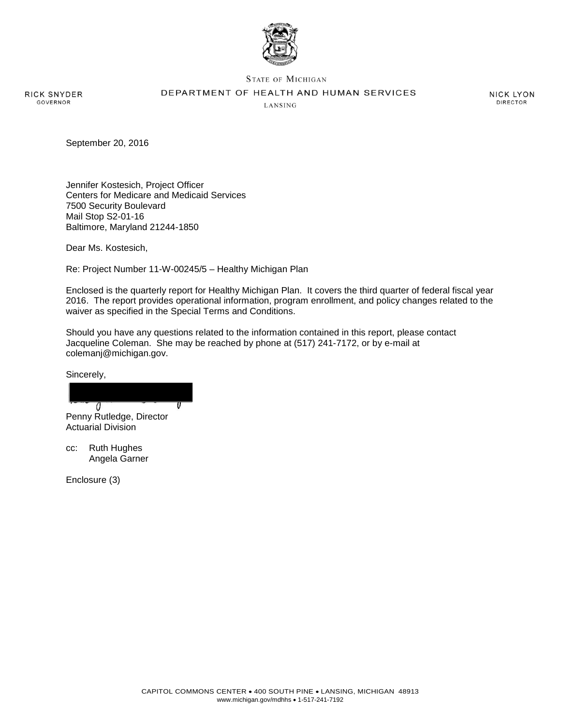

**STATE OF MICHIGAN** 

DEPARTMENT OF HEALTH AND HUMAN SERVICES

RICK SNYDER **GOVERNOR** 

LANSING

**NICK LYON DIRECTOR** 

September 20, 2016

Jennifer Kostesich, Project Officer Centers for Medicare and Medicaid Services 7500 Security Boulevard Mail Stop S2-01-16 Baltimore, Maryland 21244-1850

Dear Ms. Kostesich,

Re: Project Number 11-W-00245/5 – Healthy Michigan Plan

Enclosed is the quarterly report for Healthy Michigan Plan. It covers the third quarter of federal fiscal year 2016. The report provides operational information, program enrollment, and policy changes related to the waiver as specified in the Special Terms and Conditions.

Should you have any questions related to the information contained in this report, please contact Jacqueline Coleman. She may be reached by phone at (517) 241-7172, or by e-mail at colemanj@michigan.gov.

Sincerely,

 $\theta$ Penny Rutledge, Director

Actuarial Division

cc: Ruth Hughes Angela Garner

Enclosure (3)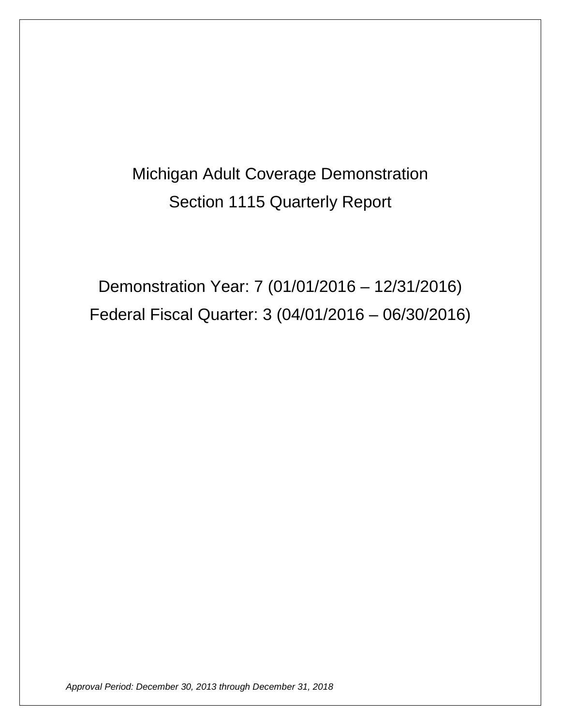# Michigan Adult Coverage Demonstration Section 1115 Quarterly Report

Demonstration Year: 7 (01/01/2016 – 12/31/2016) Federal Fiscal Quarter: 3 (04/01/2016 – 06/30/2016)

*Approval Period: December 30, 2013 through December 31, 2018*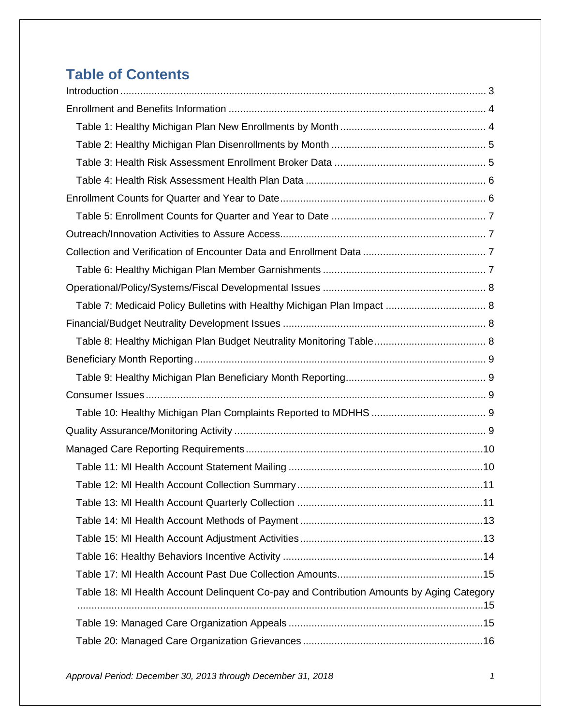# **Table of Contents**

| Table 18: MI Health Account Delinquent Co-pay and Contribution Amounts by Aging Category |  |
|------------------------------------------------------------------------------------------|--|
|                                                                                          |  |
|                                                                                          |  |
|                                                                                          |  |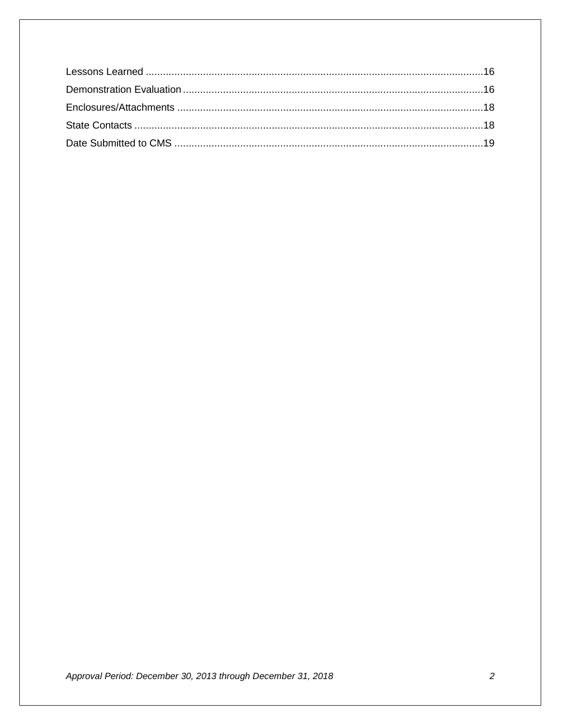Approval Period: December 30, 2013 through December 31, 2018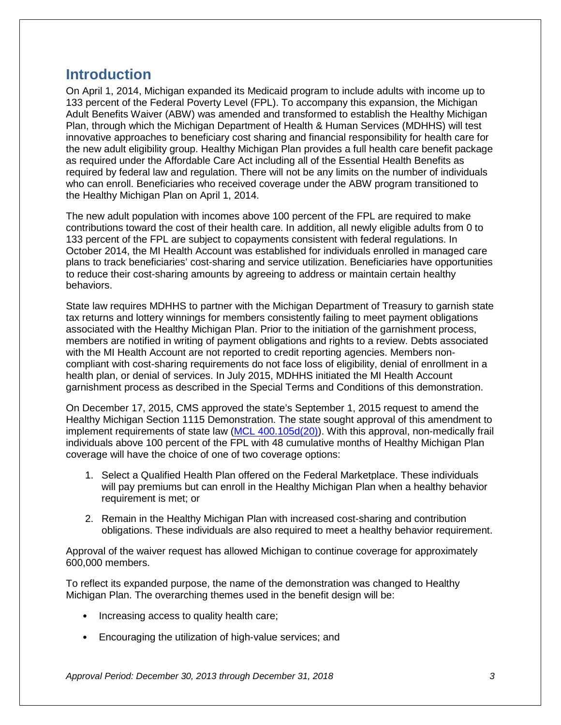# <span id="page-4-0"></span>**Introduction**

On April 1, 2014, Michigan expanded its Medicaid program to include adults with income up to 133 percent of the Federal Poverty Level (FPL). To accompany this expansion, the Michigan Adult Benefits Waiver (ABW) was amended and transformed to establish the Healthy Michigan Plan, through which the Michigan Department of Health & Human Services (MDHHS) will test innovative approaches to beneficiary cost sharing and financial responsibility for health care for the new adult eligibility group. Healthy Michigan Plan provides a full health care benefit package as required under the Affordable Care Act including all of the Essential Health Benefits as required by federal law and regulation. There will not be any limits on the number of individuals who can enroll. Beneficiaries who received coverage under the ABW program transitioned to the Healthy Michigan Plan on April 1, 2014.

The new adult population with incomes above 100 percent of the FPL are required to make contributions toward the cost of their health care. In addition, all newly eligible adults from 0 to 133 percent of the FPL are subject to copayments consistent with federal regulations. In October 2014, the MI Health Account was established for individuals enrolled in managed care plans to track beneficiaries' cost-sharing and service utilization. Beneficiaries have opportunities to reduce their cost-sharing amounts by agreeing to address or maintain certain healthy behaviors.

State law requires MDHHS to partner with the Michigan Department of Treasury to garnish state tax returns and lottery winnings for members consistently failing to meet payment obligations associated with the Healthy Michigan Plan. Prior to the initiation of the garnishment process, members are notified in writing of payment obligations and rights to a review. Debts associated with the MI Health Account are not reported to credit reporting agencies. Members noncompliant with cost-sharing requirements do not face loss of eligibility, denial of enrollment in a health plan, or denial of services. In July 2015, MDHHS initiated the MI Health Account garnishment process as described in the Special Terms and Conditions of this demonstration.

On December 17, 2015, CMS approved the state's September 1, 2015 request to amend the Healthy Michigan Section 1115 Demonstration. The state sought approval of this amendment to implement requirements of state law [\(MCL 400.105d\(20\)\)](http://www.legislature.mi.gov/(S(fm2hk25uhsi2bs0q2x3eczg0))/mileg.aspx?page=getObject&objectName=mcl-400-105d). With this approval, non-medically frail individuals above 100 percent of the FPL with 48 cumulative months of Healthy Michigan Plan coverage will have the choice of one of two coverage options:

- 1. Select a Qualified Health Plan offered on the Federal Marketplace. These individuals will pay premiums but can enroll in the Healthy Michigan Plan when a healthy behavior requirement is met; or
- 2. Remain in the Healthy Michigan Plan with increased cost-sharing and contribution obligations. These individuals are also required to meet a healthy behavior requirement.

Approval of the waiver request has allowed Michigan to continue coverage for approximately 600,000 members.

To reflect its expanded purpose, the name of the demonstration was changed to Healthy Michigan Plan. The overarching themes used in the benefit design will be:

- Increasing access to quality health care;
- Encouraging the utilization of high-value services; and

*Approval Period: December 30, 2013 through December 31, 2018 3*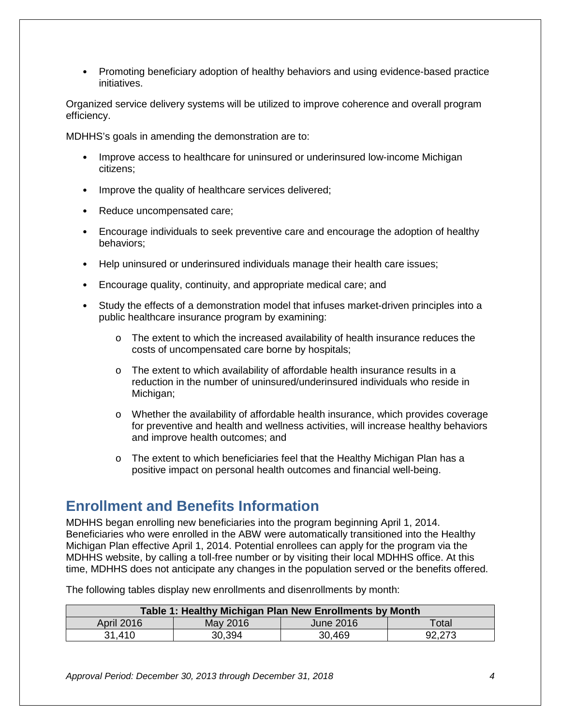• Promoting beneficiary adoption of healthy behaviors and using evidence-based practice initiatives.

Organized service delivery systems will be utilized to improve coherence and overall program efficiency.

MDHHS's goals in amending the demonstration are to:

- Improve access to healthcare for uninsured or underinsured low-income Michigan citizens;
- Improve the quality of healthcare services delivered;
- Reduce uncompensated care;
- Encourage individuals to seek preventive care and encourage the adoption of healthy behaviors;
- Help uninsured or underinsured individuals manage their health care issues;
- Encourage quality, continuity, and appropriate medical care; and
- Study the effects of a demonstration model that infuses market-driven principles into a public healthcare insurance program by examining:
	- $\circ$  The extent to which the increased availability of health insurance reduces the costs of uncompensated care borne by hospitals;
	- o The extent to which availability of affordable health insurance results in a reduction in the number of uninsured/underinsured individuals who reside in Michigan;
	- o Whether the availability of affordable health insurance, which provides coverage for preventive and health and wellness activities, will increase healthy behaviors and improve health outcomes; and
	- o The extent to which beneficiaries feel that the Healthy Michigan Plan has a positive impact on personal health outcomes and financial well-being.

# <span id="page-5-0"></span>**Enrollment and Benefits Information**

MDHHS began enrolling new beneficiaries into the program beginning April 1, 2014. Beneficiaries who were enrolled in the ABW were automatically transitioned into the Healthy Michigan Plan effective April 1, 2014. Potential enrollees can apply for the program via the MDHHS website, by calling a toll-free number or by visiting their local MDHHS office. At this time, MDHHS does not anticipate any changes in the population served or the benefits offered.

The following tables display new enrollments and disenrollments by month:

<span id="page-5-1"></span>

| Table 1: Healthy Michigan Plan New Enrollments by Month |          |                  |        |  |  |
|---------------------------------------------------------|----------|------------------|--------|--|--|
| <b>April 2016</b>                                       | May 2016 | <b>June 2016</b> | Total  |  |  |
| 31.410                                                  | 30,394   | 30,469           | 92,273 |  |  |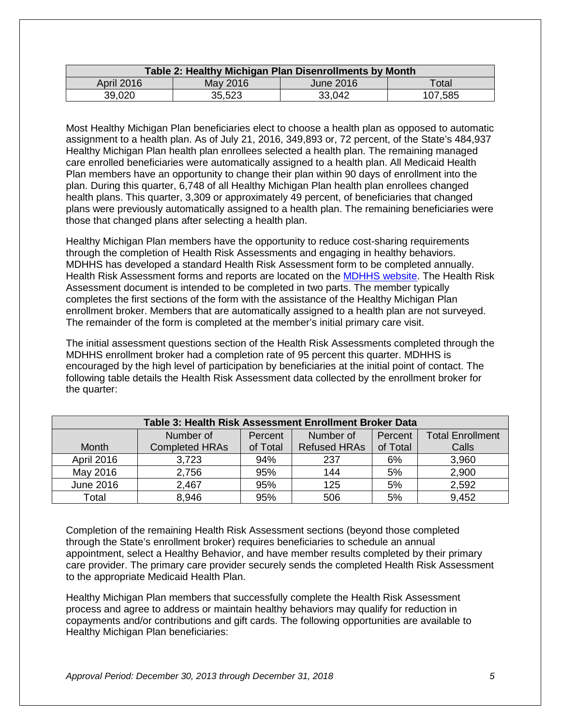<span id="page-6-0"></span>

| Table 2: Healthy Michigan Plan Disenrollments by Month            |        |        |         |  |  |
|-------------------------------------------------------------------|--------|--------|---------|--|--|
| <b>April 2016</b><br>May 2016<br><b>June 2016</b><br>$\sf{Total}$ |        |        |         |  |  |
| 39,020                                                            | 35,523 | 33,042 | 107,585 |  |  |

Most Healthy Michigan Plan beneficiaries elect to choose a health plan as opposed to automatic assignment to a health plan. As of July 21, 2016, 349,893 or, 72 percent, of the State's 484,937 Healthy Michigan Plan health plan enrollees selected a health plan. The remaining managed care enrolled beneficiaries were automatically assigned to a health plan. All Medicaid Health Plan members have an opportunity to change their plan within 90 days of enrollment into the plan. During this quarter, 6,748 of all Healthy Michigan Plan health plan enrollees changed health plans. This quarter, 3,309 or approximately 49 percent, of beneficiaries that changed plans were previously automatically assigned to a health plan. The remaining beneficiaries were those that changed plans after selecting a health plan.

Healthy Michigan Plan members have the opportunity to reduce cost-sharing requirements through the completion of Health Risk Assessments and engaging in healthy behaviors. MDHHS has developed a standard Health Risk Assessment form to be completed annually. Health Risk Assessment forms and reports are located on the [MDHHS website.](http://www.michigan.gov/mdhhs/0,5885,7-339-71547_2943_66797-325070--,00.html) The Health Risk Assessment document is intended to be completed in two parts. The member typically completes the first sections of the form with the assistance of the Healthy Michigan Plan enrollment broker. Members that are automatically assigned to a health plan are not surveyed. The remainder of the form is completed at the member's initial primary care visit.

The initial assessment questions section of the Health Risk Assessments completed through the MDHHS enrollment broker had a completion rate of 95 percent this quarter. MDHHS is encouraged by the high level of participation by beneficiaries at the initial point of contact. The following table details the Health Risk Assessment data collected by the enrollment broker for the quarter:

<span id="page-6-1"></span>

| Table 3: Health Risk Assessment Enrollment Broker Data |                                                                         |          |                     |          |       |  |  |  |  |
|--------------------------------------------------------|-------------------------------------------------------------------------|----------|---------------------|----------|-------|--|--|--|--|
|                                                        | <b>Total Enrollment</b><br>Number of<br>Number of<br>Percent<br>Percent |          |                     |          |       |  |  |  |  |
| <b>Month</b>                                           | <b>Completed HRAs</b>                                                   | of Total | <b>Refused HRAs</b> | of Total | Calls |  |  |  |  |
| <b>April 2016</b>                                      | 3,723                                                                   | 94%      | 237                 | 6%       | 3,960 |  |  |  |  |
| May 2016                                               | 2,756                                                                   | 95%      | 144                 | 5%       | 2,900 |  |  |  |  |
| June 2016                                              | 2,467                                                                   | 95%      | 125                 | 5%       | 2,592 |  |  |  |  |
| Total                                                  | 8,946                                                                   | 95%      | 506                 | 5%       | 9,452 |  |  |  |  |

Completion of the remaining Health Risk Assessment sections (beyond those completed through the State's enrollment broker) requires beneficiaries to schedule an annual appointment, select a Healthy Behavior, and have member results completed by their primary care provider. The primary care provider securely sends the completed Health Risk Assessment to the appropriate Medicaid Health Plan.

Healthy Michigan Plan members that successfully complete the Health Risk Assessment process and agree to address or maintain healthy behaviors may qualify for reduction in copayments and/or contributions and gift cards. The following opportunities are available to Healthy Michigan Plan beneficiaries: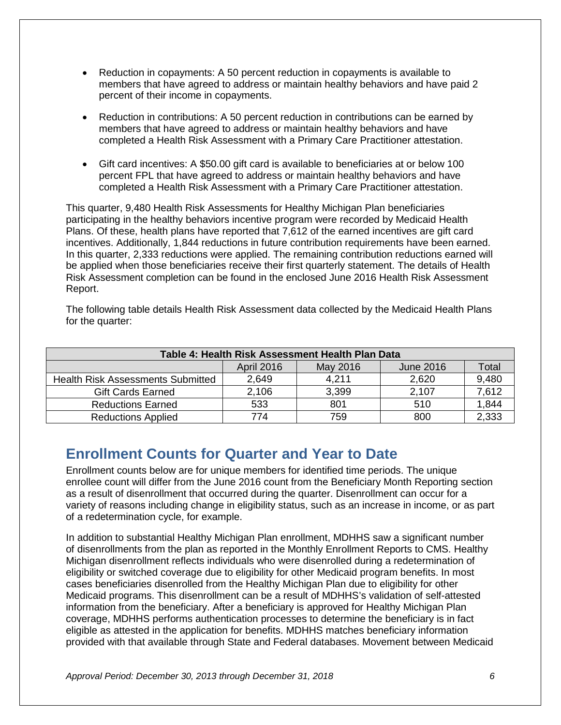- Reduction in copayments: A 50 percent reduction in copayments is available to members that have agreed to address or maintain healthy behaviors and have paid 2 percent of their income in copayments.
- Reduction in contributions: A 50 percent reduction in contributions can be earned by members that have agreed to address or maintain healthy behaviors and have completed a Health Risk Assessment with a Primary Care Practitioner attestation.
- Gift card incentives: A \$50.00 gift card is available to beneficiaries at or below 100 percent FPL that have agreed to address or maintain healthy behaviors and have completed a Health Risk Assessment with a Primary Care Practitioner attestation.

This quarter, 9,480 Health Risk Assessments for Healthy Michigan Plan beneficiaries participating in the healthy behaviors incentive program were recorded by Medicaid Health Plans. Of these, health plans have reported that 7,612 of the earned incentives are gift card incentives. Additionally, 1,844 reductions in future contribution requirements have been earned. In this quarter, 2,333 reductions were applied. The remaining contribution reductions earned will be applied when those beneficiaries receive their first quarterly statement. The details of Health Risk Assessment completion can be found in the enclosed June 2016 Health Risk Assessment Report.

The following table details Health Risk Assessment data collected by the Medicaid Health Plans for the quarter:

<span id="page-7-0"></span>

| Table 4: Health Risk Assessment Health Plan Data           |       |       |       |       |  |  |  |
|------------------------------------------------------------|-------|-------|-------|-------|--|--|--|
| <b>April 2016</b><br>May 2016<br>Total<br><b>June 2016</b> |       |       |       |       |  |  |  |
| <b>Health Risk Assessments Submitted</b>                   | 2,649 | 4,211 | 2,620 | 9,480 |  |  |  |
| <b>Gift Cards Earned</b>                                   | 2,106 | 3,399 | 2,107 | 7.612 |  |  |  |
| <b>Reductions Earned</b>                                   | 533   | 801   | 510   | 1,844 |  |  |  |
| <b>Reductions Applied</b>                                  | 774   | 759   | 800   | 2,333 |  |  |  |

# <span id="page-7-1"></span>**Enrollment Counts for Quarter and Year to Date**

Enrollment counts below are for unique members for identified time periods. The unique enrollee count will differ from the June 2016 count from the Beneficiary Month Reporting section as a result of disenrollment that occurred during the quarter. Disenrollment can occur for a variety of reasons including change in eligibility status, such as an increase in income, or as part of a redetermination cycle, for example.

In addition to substantial Healthy Michigan Plan enrollment, MDHHS saw a significant number of disenrollments from the plan as reported in the Monthly Enrollment Reports to CMS. Healthy Michigan disenrollment reflects individuals who were disenrolled during a redetermination of eligibility or switched coverage due to eligibility for other Medicaid program benefits. In most cases beneficiaries disenrolled from the Healthy Michigan Plan due to eligibility for other Medicaid programs. This disenrollment can be a result of MDHHS's validation of self-attested information from the beneficiary. After a beneficiary is approved for Healthy Michigan Plan coverage, MDHHS performs authentication processes to determine the beneficiary is in fact eligible as attested in the application for benefits. MDHHS matches beneficiary information provided with that available through State and Federal databases. Movement between Medicaid

*Approval Period: December 30, 2013 through December 31, 2018 6*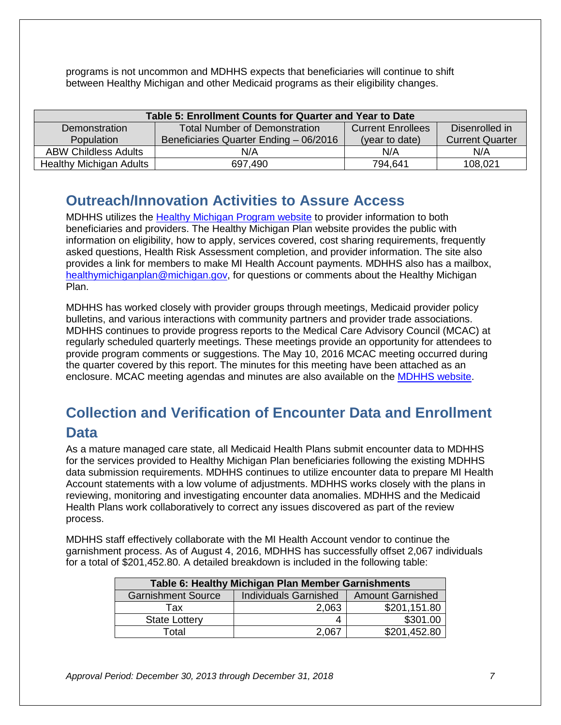programs is not uncommon and MDHHS expects that beneficiaries will continue to shift between Healthy Michigan and other Medicaid programs as their eligibility changes.

<span id="page-8-0"></span>

| Table 5: Enrollment Counts for Quarter and Year to Date                                             |                                        |                |                        |  |  |  |  |
|-----------------------------------------------------------------------------------------------------|----------------------------------------|----------------|------------------------|--|--|--|--|
| <b>Total Number of Demonstration</b><br>Disenrolled in<br><b>Current Enrollees</b><br>Demonstration |                                        |                |                        |  |  |  |  |
| <b>Population</b>                                                                                   | Beneficiaries Quarter Ending - 06/2016 | (year to date) | <b>Current Quarter</b> |  |  |  |  |
| <b>ABW Childless Adults</b>                                                                         | N/A                                    | N/A            | N/A                    |  |  |  |  |
| <b>Healthy Michigan Adults</b>                                                                      | 697,490                                | 794.641        | 108,021                |  |  |  |  |

# <span id="page-8-1"></span>**Outreach/Innovation Activities to Assure Access**

MDHHS utilizes the [Healthy Michigan Program website](http://www.michigan.gov/healthymiplan/) to provider information to both beneficiaries and providers. The Healthy Michigan Plan website provides the public with information on eligibility, how to apply, services covered, cost sharing requirements, frequently asked questions, Health Risk Assessment completion, and provider information. The site also provides a link for members to make MI Health Account payments. MDHHS also has a mailbox, [healthymichiganplan@michigan.gov,](mailto:healthymichiganplan@michigan.gov) for questions or comments about the Healthy Michigan Plan.

MDHHS has worked closely with provider groups through meetings, Medicaid provider policy bulletins, and various interactions with community partners and provider trade associations. MDHHS continues to provide progress reports to the Medical Care Advisory Council (MCAC) at regularly scheduled quarterly meetings. These meetings provide an opportunity for attendees to provide program comments or suggestions. The May 10, 2016 MCAC meeting occurred during the quarter covered by this report. The minutes for this meeting have been attached as an enclosure. MCAC meeting agendas and minutes are also available on the [MDHHS website.](http://michigan.gov/mdhhs/0,5885,7-339-71547_4860-55742--,00.html)

# <span id="page-8-2"></span>**Collection and Verification of Encounter Data and Enrollment Data**

As a mature managed care state, all Medicaid Health Plans submit encounter data to MDHHS for the services provided to Healthy Michigan Plan beneficiaries following the existing MDHHS data submission requirements. MDHHS continues to utilize encounter data to prepare MI Health Account statements with a low volume of adjustments. MDHHS works closely with the plans in reviewing, monitoring and investigating encounter data anomalies. MDHHS and the Medicaid Health Plans work collaboratively to correct any issues discovered as part of the review process.

MDHHS staff effectively collaborate with the MI Health Account vendor to continue the garnishment process. As of August 4, 2016, MDHHS has successfully offset 2,067 individuals for a total of \$201,452.80. A detailed breakdown is included in the following table:

<span id="page-8-3"></span>

| Table 6: Healthy Michigan Plan Member Garnishments |                              |                         |  |  |  |
|----------------------------------------------------|------------------------------|-------------------------|--|--|--|
| <b>Garnishment Source</b>                          | <b>Individuals Garnished</b> | <b>Amount Garnished</b> |  |  |  |
| Tax                                                | 2,063                        | \$201,151.80            |  |  |  |
| <b>State Lottery</b>                               | 4                            | \$301.00                |  |  |  |
| Total                                              | 2.067                        | \$201,452.80            |  |  |  |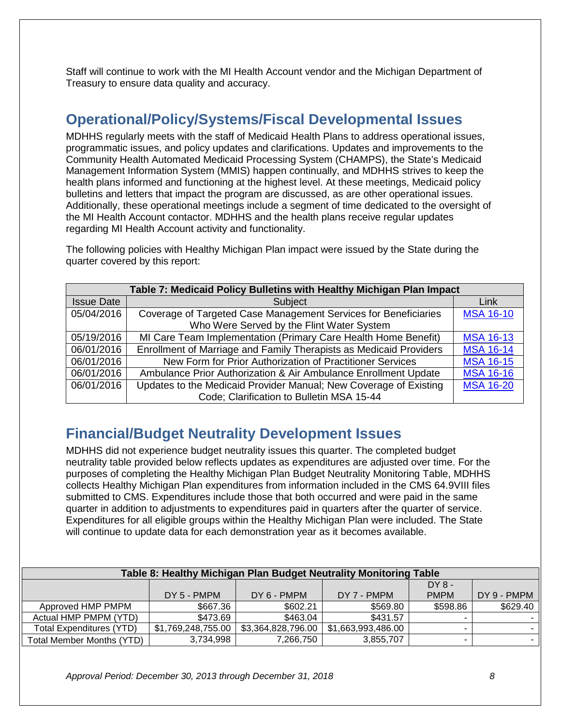Staff will continue to work with the MI Health Account vendor and the Michigan Department of Treasury to ensure data quality and accuracy.

## <span id="page-9-0"></span>**Operational/Policy/Systems/Fiscal Developmental Issues**

MDHHS regularly meets with the staff of Medicaid Health Plans to address operational issues, programmatic issues, and policy updates and clarifications. Updates and improvements to the Community Health Automated Medicaid Processing System (CHAMPS), the State's Medicaid Management Information System (MMIS) happen continually, and MDHHS strives to keep the health plans informed and functioning at the highest level. At these meetings, Medicaid policy bulletins and letters that impact the program are discussed, as are other operational issues. Additionally, these operational meetings include a segment of time dedicated to the oversight of the MI Health Account contactor. MDHHS and the health plans receive regular updates regarding MI Health Account activity and functionality.

The following policies with Healthy Michigan Plan impact were issued by the State during the quarter covered by this report:

<span id="page-9-1"></span>

| Table 7: Medicaid Policy Bulletins with Healthy Michigan Plan Impact |                                                                    |                  |  |  |  |  |
|----------------------------------------------------------------------|--------------------------------------------------------------------|------------------|--|--|--|--|
| <b>Issue Date</b>                                                    | Subject                                                            | Link             |  |  |  |  |
| 05/04/2016                                                           | Coverage of Targeted Case Management Services for Beneficiaries    | <b>MSA 16-10</b> |  |  |  |  |
|                                                                      | Who Were Served by the Flint Water System                          |                  |  |  |  |  |
| 05/19/2016                                                           | MI Care Team Implementation (Primary Care Health Home Benefit)     | <b>MSA 16-13</b> |  |  |  |  |
| 06/01/2016                                                           | Enrollment of Marriage and Family Therapists as Medicaid Providers | <b>MSA 16-14</b> |  |  |  |  |
| 06/01/2016                                                           | New Form for Prior Authorization of Practitioner Services          | <b>MSA 16-15</b> |  |  |  |  |
| 06/01/2016                                                           | Ambulance Prior Authorization & Air Ambulance Enrollment Update    | <b>MSA 16-16</b> |  |  |  |  |
| 06/01/2016                                                           | Updates to the Medicaid Provider Manual; New Coverage of Existing  | <b>MSA 16-20</b> |  |  |  |  |
|                                                                      | Code; Clarification to Bulletin MSA 15-44                          |                  |  |  |  |  |

# <span id="page-9-2"></span>**Financial/Budget Neutrality Development Issues**

MDHHS did not experience budget neutrality issues this quarter. The completed budget neutrality table provided below reflects updates as expenditures are adjusted over time. For the purposes of completing the Healthy Michigan Plan Budget Neutrality Monitoring Table, MDHHS collects Healthy Michigan Plan expenditures from information included in the CMS 64.9VIII files submitted to CMS. Expenditures include those that both occurred and were paid in the same quarter in addition to adjustments to expenditures paid in quarters after the quarter of service. Expenditures for all eligible groups within the Healthy Michigan Plan were included. The State will continue to update data for each demonstration year as it becomes available.

<span id="page-9-3"></span>

| Table 8: Healthy Michigan Plan Budget Neutrality Monitoring Table |                    |                    |                    |             |             |  |  |
|-------------------------------------------------------------------|--------------------|--------------------|--------------------|-------------|-------------|--|--|
|                                                                   |                    |                    |                    | $DY8 -$     |             |  |  |
|                                                                   | $DY 5 - PMPM$      | DY 6 - PMPM        | DY 7 - PMPM        | <b>PMPM</b> | DY 9 - PMPM |  |  |
| Approved HMP PMPM                                                 | \$667.36           | \$602.21           | \$569.80           | \$598.86    | \$629.40    |  |  |
| Actual HMP PMPM (YTD)                                             | \$473.69           | \$463.04           | \$431.57           |             |             |  |  |
| Total Expenditures (YTD)                                          | \$1,769,248,755.00 | \$3,364,828,796.00 | \$1,663,993,486.00 |             |             |  |  |
| <b>Total Member Months (YTD)</b>                                  | 3,734,998          | 7,266,750          | 3,855,707          | -           |             |  |  |

*Approval Period: December 30, 2013 through December 31, 2018 8*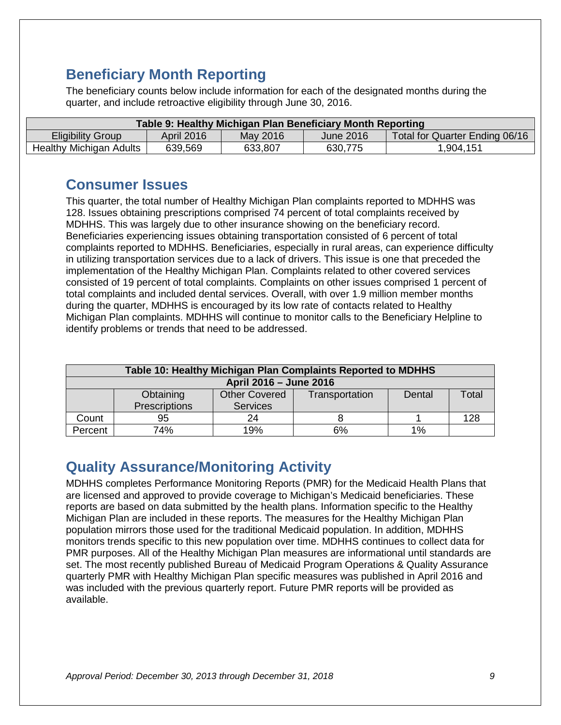# <span id="page-10-0"></span>**Beneficiary Month Reporting**

The beneficiary counts below include information for each of the designated months during the quarter, and include retroactive eligibility through June 30, 2016.

<span id="page-10-1"></span>

| Table 9: Healthy Michigan Plan Beneficiary Month Reporting                                               |         |         |         |           |  |  |
|----------------------------------------------------------------------------------------------------------|---------|---------|---------|-----------|--|--|
| May 2016<br><b>Eligibility Group</b><br>April 2016<br><b>June 2016</b><br>Total for Quarter Ending 06/16 |         |         |         |           |  |  |
| Healthy Michigan Adults                                                                                  | 639,569 | 633,807 | 630,775 | 1,904,151 |  |  |

## <span id="page-10-2"></span>**Consumer Issues**

This quarter, the total number of Healthy Michigan Plan complaints reported to MDHHS was 128. Issues obtaining prescriptions comprised 74 percent of total complaints received by MDHHS. This was largely due to other insurance showing on the beneficiary record. Beneficiaries experiencing issues obtaining transportation consisted of 6 percent of total complaints reported to MDHHS. Beneficiaries, especially in rural areas, can experience difficulty in utilizing transportation services due to a lack of drivers. This issue is one that preceded the implementation of the Healthy Michigan Plan. Complaints related to other covered services consisted of 19 percent of total complaints. Complaints on other issues comprised 1 percent of total complaints and included dental services. Overall, with over 1.9 million member months during the quarter, MDHHS is encouraged by its low rate of contacts related to Healthy Michigan Plan complaints. MDHHS will continue to monitor calls to the Beneficiary Helpline to identify problems or trends that need to be addressed.

<span id="page-10-3"></span>

| Table 10: Healthy Michigan Plan Complaints Reported to MDHHS |                                                                        |     |    |    |     |  |
|--------------------------------------------------------------|------------------------------------------------------------------------|-----|----|----|-----|--|
| April 2016 - June 2016                                       |                                                                        |     |    |    |     |  |
|                                                              | <b>Other Covered</b><br>Obtaining<br>Total<br>Transportation<br>Dental |     |    |    |     |  |
| Prescriptions<br><b>Services</b>                             |                                                                        |     |    |    |     |  |
| Count                                                        | 95                                                                     | 24  |    |    | 128 |  |
| Percent                                                      | 74%                                                                    | 19% | 6% | 1% |     |  |

# <span id="page-10-4"></span>**Quality Assurance/Monitoring Activity**

MDHHS completes Performance Monitoring Reports (PMR) for the Medicaid Health Plans that are licensed and approved to provide coverage to Michigan's Medicaid beneficiaries. These reports are based on data submitted by the health plans. Information specific to the Healthy Michigan Plan are included in these reports. The measures for the Healthy Michigan Plan population mirrors those used for the traditional Medicaid population. In addition, MDHHS monitors trends specific to this new population over time. MDHHS continues to collect data for PMR purposes. All of the Healthy Michigan Plan measures are informational until standards are set. The most recently published Bureau of Medicaid Program Operations & Quality Assurance quarterly PMR with Healthy Michigan Plan specific measures was published in April 2016 and was included with the previous quarterly report. Future PMR reports will be provided as available.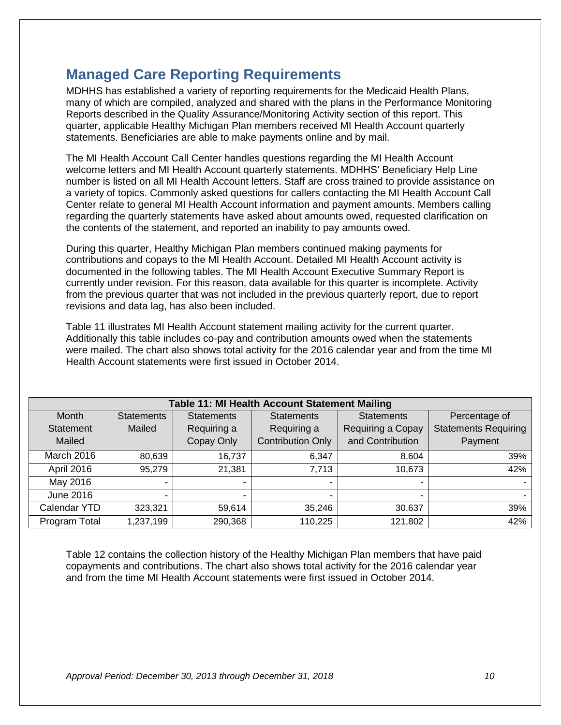# <span id="page-11-0"></span>**Managed Care Reporting Requirements**

MDHHS has established a variety of reporting requirements for the Medicaid Health Plans, many of which are compiled, analyzed and shared with the plans in the Performance Monitoring Reports described in the Quality Assurance/Monitoring Activity section of this report. This quarter, applicable Healthy Michigan Plan members received MI Health Account quarterly statements. Beneficiaries are able to make payments online and by mail.

The MI Health Account Call Center handles questions regarding the MI Health Account welcome letters and MI Health Account quarterly statements. MDHHS' Beneficiary Help Line number is listed on all MI Health Account letters. Staff are cross trained to provide assistance on a variety of topics. Commonly asked questions for callers contacting the MI Health Account Call Center relate to general MI Health Account information and payment amounts. Members calling regarding the quarterly statements have asked about amounts owed, requested clarification on the contents of the statement, and reported an inability to pay amounts owed.

During this quarter, Healthy Michigan Plan members continued making payments for contributions and copays to the MI Health Account. Detailed MI Health Account activity is documented in the following tables. The MI Health Account Executive Summary Report is currently under revision. For this reason, data available for this quarter is incomplete. Activity from the previous quarter that was not included in the previous quarterly report, due to report revisions and data lag, has also been included.

Table 11 illustrates MI Health Account statement mailing activity for the current quarter. Additionally this table includes co-pay and contribution amounts owed when the statements were mailed. The chart also shows total activity for the 2016 calendar year and from the time MI Health Account statements were first issued in October 2014.

<span id="page-11-1"></span>

| Table 11: MI Health Account Statement Mailing |                              |                   |                          |                          |                             |  |  |  |  |  |
|-----------------------------------------------|------------------------------|-------------------|--------------------------|--------------------------|-----------------------------|--|--|--|--|--|
| Month                                         | <b>Statements</b>            | <b>Statements</b> | <b>Statements</b>        | <b>Statements</b>        | Percentage of               |  |  |  |  |  |
| <b>Statement</b>                              | Mailed                       | Requiring a       | Requiring a              | Requiring a Copay        | <b>Statements Requiring</b> |  |  |  |  |  |
| Mailed                                        |                              | Copay Only        | <b>Contribution Only</b> | and Contribution         | Payment                     |  |  |  |  |  |
| March 2016                                    | 80,639                       | 16,737            | 6,347                    | 8,604                    | 39%                         |  |  |  |  |  |
| April 2016                                    | 95,279                       | 21,381            | 7,713                    | 10,673                   | 42%                         |  |  |  |  |  |
| May 2016                                      | $\qquad \qquad \blacksquare$ | $\blacksquare$    |                          | $\overline{\phantom{0}}$ |                             |  |  |  |  |  |
| June 2016                                     | $\overline{\phantom{0}}$     | $\blacksquare$    |                          | $\overline{\phantom{0}}$ |                             |  |  |  |  |  |
| Calendar YTD                                  | 323,321                      | 59,614            | 35,246                   | 30,637                   | 39%                         |  |  |  |  |  |
| Program Total                                 | 1,237,199                    | 290,368           | 110,225                  | 121,802                  | 42%                         |  |  |  |  |  |

Table 12 contains the collection history of the Healthy Michigan Plan members that have paid copayments and contributions. The chart also shows total activity for the 2016 calendar year and from the time MI Health Account statements were first issued in October 2014.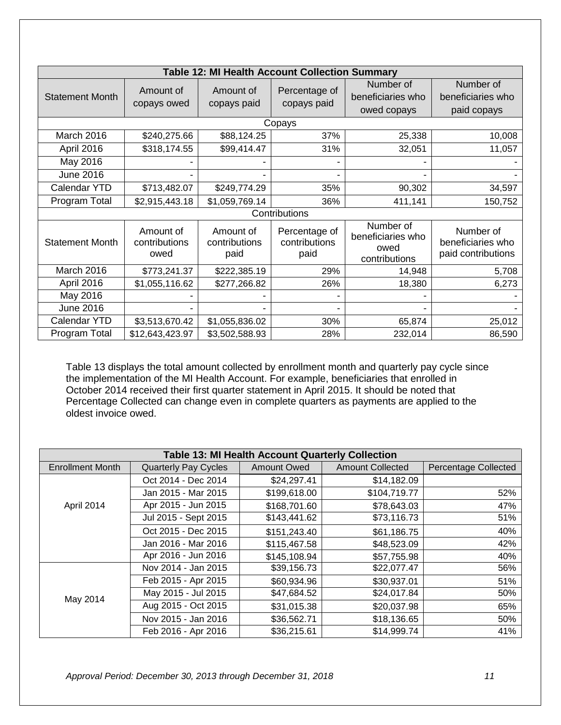<span id="page-12-0"></span>

| <b>Table 12: MI Health Account Collection Summary</b> |                                    |                                    |                                        |                                                         |                                                      |  |  |  |  |  |
|-------------------------------------------------------|------------------------------------|------------------------------------|----------------------------------------|---------------------------------------------------------|------------------------------------------------------|--|--|--|--|--|
| <b>Statement Month</b>                                | Amount of                          | Amount of                          | Percentage of                          | Number of                                               | Number of                                            |  |  |  |  |  |
|                                                       | copays owed                        | copays paid                        | copays paid                            | beneficiaries who                                       | beneficiaries who                                    |  |  |  |  |  |
|                                                       |                                    |                                    |                                        | owed copays                                             | paid copays                                          |  |  |  |  |  |
|                                                       |                                    |                                    | Copays                                 |                                                         |                                                      |  |  |  |  |  |
| March 2016                                            | \$240,275.66                       | \$88,124.25                        | 37%                                    | 25,338                                                  | 10,008                                               |  |  |  |  |  |
| April 2016                                            | \$318,174.55                       | \$99,414.47                        | 31%                                    | 32,051                                                  | 11,057                                               |  |  |  |  |  |
| May 2016                                              |                                    |                                    |                                        |                                                         |                                                      |  |  |  |  |  |
| <b>June 2016</b>                                      |                                    |                                    |                                        |                                                         |                                                      |  |  |  |  |  |
| Calendar YTD                                          | \$713,482.07                       | \$249,774.29                       | 35%                                    | 90,302                                                  | 34,597                                               |  |  |  |  |  |
| Program Total                                         | \$2,915,443.18                     | \$1,059,769.14                     | 36%                                    | 411,141                                                 | 150,752                                              |  |  |  |  |  |
|                                                       |                                    |                                    | Contributions                          |                                                         |                                                      |  |  |  |  |  |
| <b>Statement Month</b>                                | Amount of<br>contributions<br>owed | Amount of<br>contributions<br>paid | Percentage of<br>contributions<br>paid | Number of<br>beneficiaries who<br>owed<br>contributions | Number of<br>beneficiaries who<br>paid contributions |  |  |  |  |  |
| March 2016                                            | \$773,241.37                       | \$222,385.19                       | 29%                                    | 14,948                                                  | 5,708                                                |  |  |  |  |  |
| April 2016                                            | \$1,055,116.62                     | \$277,266.82                       | 26%                                    | 18,380                                                  | 6,273                                                |  |  |  |  |  |
| May 2016                                              |                                    |                                    |                                        |                                                         |                                                      |  |  |  |  |  |
| <b>June 2016</b>                                      |                                    |                                    | $\overline{\phantom{0}}$               |                                                         |                                                      |  |  |  |  |  |
| <b>Calendar YTD</b>                                   | \$3,513,670.42                     | \$1,055,836.02                     | 30%                                    | 65,874                                                  | 25,012                                               |  |  |  |  |  |
| Program Total                                         | \$12,643,423.97                    | \$3,502,588.93                     | 28%                                    | 232,014                                                 | 86,590                                               |  |  |  |  |  |

Table 13 displays the total amount collected by enrollment month and quarterly pay cycle since the implementation of the MI Health Account. For example, beneficiaries that enrolled in October 2014 received their first quarter statement in April 2015. It should be noted that Percentage Collected can change even in complete quarters as payments are applied to the oldest invoice owed.

<span id="page-12-1"></span>

|                         | Table 13: MI Health Account Quarterly Collection |                    |                         |                             |  |  |  |  |  |
|-------------------------|--------------------------------------------------|--------------------|-------------------------|-----------------------------|--|--|--|--|--|
| <b>Enrollment Month</b> | <b>Quarterly Pay Cycles</b>                      | <b>Amount Owed</b> | <b>Amount Collected</b> | <b>Percentage Collected</b> |  |  |  |  |  |
|                         | Oct 2014 - Dec 2014                              | \$24,297.41        | \$14,182.09             |                             |  |  |  |  |  |
|                         | Jan 2015 - Mar 2015                              | \$199,618.00       | \$104,719.77            | 52%                         |  |  |  |  |  |
| April 2014              | Apr 2015 - Jun 2015                              | \$168,701.60       | \$78,643.03             | 47%                         |  |  |  |  |  |
|                         | Jul 2015 - Sept 2015                             | \$143,441.62       | \$73,116.73             | 51%                         |  |  |  |  |  |
|                         | Oct 2015 - Dec 2015                              | \$151,243.40       | \$61,186.75             | 40%                         |  |  |  |  |  |
|                         | Jan 2016 - Mar 2016                              | \$115,467.58       | \$48,523.09             | 42%                         |  |  |  |  |  |
|                         | Apr 2016 - Jun 2016                              | \$145,108.94       | \$57,755.98             | 40%                         |  |  |  |  |  |
|                         | Nov 2014 - Jan 2015                              | \$39,156.73        | \$22,077.47             | 56%                         |  |  |  |  |  |
|                         | Feb 2015 - Apr 2015                              | \$60,934.96        | \$30,937.01             | 51%                         |  |  |  |  |  |
|                         | May 2015 - Jul 2015                              | \$47,684.52        | \$24,017.84             | 50%                         |  |  |  |  |  |
| May 2014                | Aug 2015 - Oct 2015                              | \$31,015.38        | \$20,037.98             | 65%                         |  |  |  |  |  |
|                         | Nov 2015 - Jan 2016                              | \$36,562.71        | \$18,136.65             | 50%                         |  |  |  |  |  |
|                         | Feb 2016 - Apr 2016                              | \$36,215.61        | \$14,999.74             | 41%                         |  |  |  |  |  |

*Approval Period: December 30, 2013 through December 31, 2018 11*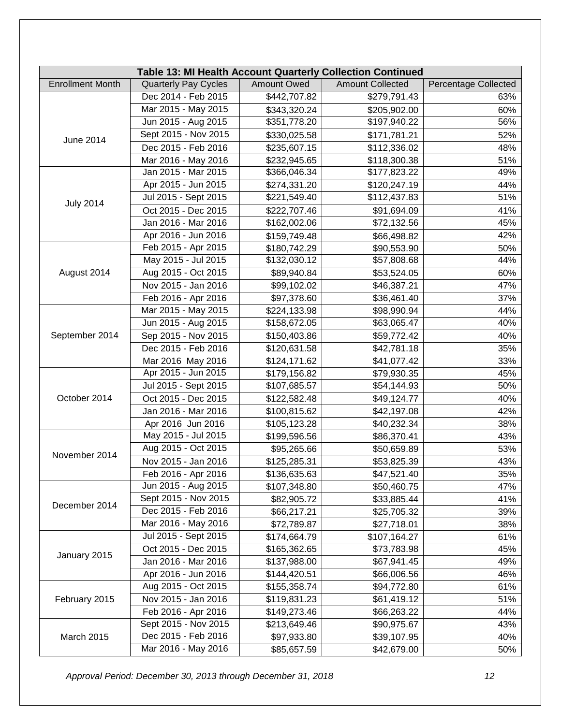| Table 13: MI Health Account Quarterly Collection Continued |                                                                                                      |              |              |     |  |  |  |  |  |
|------------------------------------------------------------|------------------------------------------------------------------------------------------------------|--------------|--------------|-----|--|--|--|--|--|
| <b>Enrollment Month</b>                                    | <b>Quarterly Pay Cycles</b><br><b>Amount Owed</b><br><b>Amount Collected</b><br>Percentage Collected |              |              |     |  |  |  |  |  |
|                                                            | Dec 2014 - Feb 2015                                                                                  | \$442,707.82 | \$279,791.43 | 63% |  |  |  |  |  |
|                                                            | Mar 2015 - May 2015                                                                                  | \$343,320.24 | \$205,902.00 | 60% |  |  |  |  |  |
|                                                            | Jun 2015 - Aug 2015                                                                                  | \$351,778.20 | \$197,940.22 | 56% |  |  |  |  |  |
|                                                            | Sept 2015 - Nov 2015                                                                                 | \$330,025.58 | \$171,781.21 | 52% |  |  |  |  |  |
| June 2014                                                  | Dec 2015 - Feb 2016                                                                                  | \$235,607.15 | \$112,336.02 | 48% |  |  |  |  |  |
|                                                            | Mar 2016 - May 2016                                                                                  | \$232,945.65 | \$118,300.38 | 51% |  |  |  |  |  |
|                                                            | Jan 2015 - Mar 2015                                                                                  | \$366,046.34 | \$177,823.22 | 49% |  |  |  |  |  |
|                                                            | Apr 2015 - Jun 2015                                                                                  | \$274,331.20 | \$120,247.19 | 44% |  |  |  |  |  |
|                                                            | Jul 2015 - Sept 2015                                                                                 | \$221,549.40 | \$112,437.83 | 51% |  |  |  |  |  |
| <b>July 2014</b>                                           | Oct 2015 - Dec 2015                                                                                  | \$222,707.46 | \$91,694.09  | 41% |  |  |  |  |  |
|                                                            | Jan 2016 - Mar 2016                                                                                  | \$162,002.06 | \$72,132.56  | 45% |  |  |  |  |  |
|                                                            | Apr 2016 - Jun 2016                                                                                  | \$159,749.48 | \$66,498.82  | 42% |  |  |  |  |  |
|                                                            | Feb 2015 - Apr 2015                                                                                  | \$180,742.29 | \$90,553.90  | 50% |  |  |  |  |  |
|                                                            | May 2015 - Jul 2015                                                                                  | \$132,030.12 | \$57,808.68  | 44% |  |  |  |  |  |
| August 2014                                                | Aug 2015 - Oct 2015                                                                                  | \$89,940.84  | \$53,524.05  | 60% |  |  |  |  |  |
|                                                            | Nov 2015 - Jan 2016                                                                                  | \$99,102.02  | \$46,387.21  | 47% |  |  |  |  |  |
|                                                            | Feb 2016 - Apr 2016                                                                                  | \$97,378.60  | \$36,461.40  | 37% |  |  |  |  |  |
|                                                            | Mar 2015 - May 2015                                                                                  | \$224,133.98 | \$98,990.94  | 44% |  |  |  |  |  |
|                                                            | Jun 2015 - Aug 2015                                                                                  | \$158,672.05 | \$63,065.47  | 40% |  |  |  |  |  |
| September 2014                                             | Sep 2015 - Nov 2015                                                                                  | \$150,403.86 | \$59,772.42  | 40% |  |  |  |  |  |
|                                                            | Dec 2015 - Feb 2016                                                                                  | \$120,631.58 | \$42,781.18  | 35% |  |  |  |  |  |
|                                                            | Mar 2016 May 2016                                                                                    | \$124,171.62 | \$41,077.42  | 33% |  |  |  |  |  |
|                                                            | Apr 2015 - Jun 2015                                                                                  | \$179,156.82 | \$79,930.35  | 45% |  |  |  |  |  |
|                                                            | Jul 2015 - Sept 2015                                                                                 | \$107,685.57 | \$54,144.93  | 50% |  |  |  |  |  |
| October 2014                                               | Oct 2015 - Dec 2015                                                                                  | \$122,582.48 | \$49,124.77  | 40% |  |  |  |  |  |
|                                                            | Jan 2016 - Mar 2016                                                                                  | \$100,815.62 | \$42,197.08  | 42% |  |  |  |  |  |
|                                                            | Apr 2016 Jun 2016                                                                                    | \$105,123.28 | \$40,232.34  | 38% |  |  |  |  |  |
|                                                            | May 2015 - Jul 2015                                                                                  | \$199,596.56 | \$86,370.41  | 43% |  |  |  |  |  |
| November 2014                                              | Aug 2015 - Oct 2015                                                                                  | \$95,265.66  | \$50,659.89  | 53% |  |  |  |  |  |
|                                                            | Nov 2015 - Jan 2016                                                                                  | \$125,285.31 | \$53,825.39  | 43% |  |  |  |  |  |
|                                                            | Feb 2016 - Apr 2016                                                                                  | \$136,635.63 | \$47,521.40  | 35% |  |  |  |  |  |
|                                                            | Jun 2015 - Aug 2015                                                                                  | \$107,348.80 | \$50,460.75  | 47% |  |  |  |  |  |
| December 2014                                              | Sept 2015 - Nov 2015                                                                                 | \$82,905.72  | \$33,885.44  | 41% |  |  |  |  |  |
|                                                            | Dec 2015 - Feb 2016                                                                                  | \$66,217.21  | \$25,705.32  | 39% |  |  |  |  |  |
|                                                            | Mar 2016 - May 2016                                                                                  | \$72,789.87  | \$27,718.01  | 38% |  |  |  |  |  |
|                                                            | Jul 2015 - Sept 2015                                                                                 | \$174,664.79 | \$107,164.27 | 61% |  |  |  |  |  |
|                                                            | Oct 2015 - Dec 2015                                                                                  | \$165,362.65 | \$73,783.98  | 45% |  |  |  |  |  |
| January 2015                                               | Jan 2016 - Mar 2016                                                                                  | \$137,988.00 | \$67,941.45  | 49% |  |  |  |  |  |
|                                                            | Apr 2016 - Jun 2016                                                                                  | \$144,420.51 | \$66,006.56  | 46% |  |  |  |  |  |
|                                                            | Aug 2015 - Oct 2015                                                                                  | \$155,358.74 | \$94,772.80  | 61% |  |  |  |  |  |
| February 2015                                              | Nov 2015 - Jan 2016                                                                                  | \$119,831.23 | \$61,419.12  | 51% |  |  |  |  |  |
|                                                            | Feb 2016 - Apr 2016                                                                                  | \$149,273.46 | \$66,263.22  | 44% |  |  |  |  |  |
|                                                            | Sept 2015 - Nov 2015                                                                                 | \$213,649.46 | \$90,975.67  | 43% |  |  |  |  |  |
| <b>March 2015</b>                                          | Dec 2015 - Feb 2016                                                                                  | \$97,933.80  | \$39,107.95  | 40% |  |  |  |  |  |
|                                                            | Mar 2016 - May 2016                                                                                  | \$85,657.59  | \$42,679.00  | 50% |  |  |  |  |  |

*Approval Period: December 30, 2013 through December 31, 2018 12*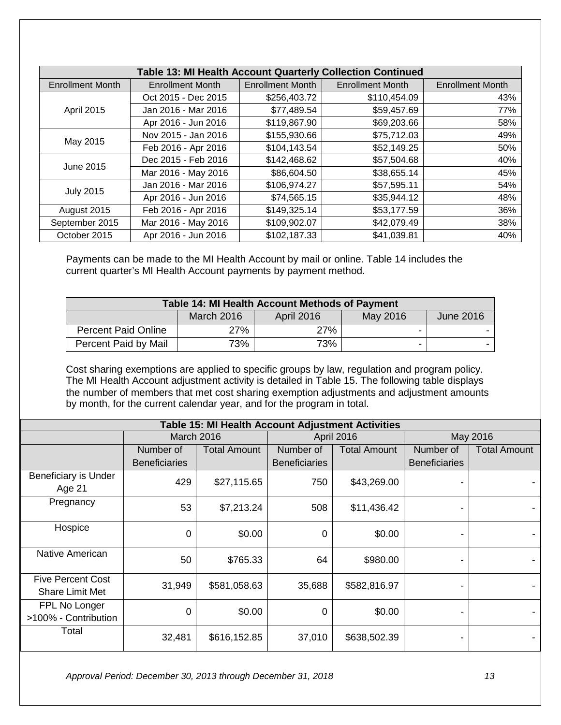| <b>Table 13: MI Health Account Quarterly Collection Continued</b> |                         |                         |                         |                         |  |  |  |  |  |
|-------------------------------------------------------------------|-------------------------|-------------------------|-------------------------|-------------------------|--|--|--|--|--|
| <b>Enrollment Month</b>                                           | <b>Enrollment Month</b> | <b>Enrollment Month</b> | <b>Enrollment Month</b> | <b>Enrollment Month</b> |  |  |  |  |  |
|                                                                   | Oct 2015 - Dec 2015     | \$256,403.72            | \$110,454.09            | 43%                     |  |  |  |  |  |
| April 2015                                                        | Jan 2016 - Mar 2016     | \$77,489.54             | \$59,457.69             | 77%                     |  |  |  |  |  |
|                                                                   | Apr 2016 - Jun 2016     | \$119,867.90            | \$69,203.66             | 58%                     |  |  |  |  |  |
|                                                                   | Nov 2015 - Jan 2016     | \$155,930.66            | \$75,712.03             | 49%                     |  |  |  |  |  |
| May 2015                                                          | Feb 2016 - Apr 2016     | \$104,143.54            | \$52,149.25             | 50%                     |  |  |  |  |  |
| June 2015                                                         | Dec 2015 - Feb 2016     | \$142,468.62            | \$57,504.68             | 40%                     |  |  |  |  |  |
|                                                                   | Mar 2016 - May 2016     | \$86,604.50             | \$38,655.14             | 45%                     |  |  |  |  |  |
|                                                                   | Jan 2016 - Mar 2016     | \$106,974.27            | \$57,595.11             | 54%                     |  |  |  |  |  |
| <b>July 2015</b>                                                  | Apr 2016 - Jun 2016     | \$74,565.15             | \$35,944.12             | 48%                     |  |  |  |  |  |
| August 2015                                                       | Feb 2016 - Apr 2016     | \$149,325.14            | \$53,177.59             | 36%                     |  |  |  |  |  |
| September 2015                                                    | Mar 2016 - May 2016     | \$109,902.07            | \$42,079.49             | 38%                     |  |  |  |  |  |
| October 2015                                                      | Apr 2016 - Jun 2016     | \$102,187.33            | \$41,039.81             | 40%                     |  |  |  |  |  |

Payments can be made to the MI Health Account by mail or online. Table 14 includes the current quarter's MI Health Account payments by payment method.

<span id="page-14-0"></span>

| <b>Table 14: MI Health Account Methods of Payment</b> |            |                   |          |                  |  |  |  |  |  |  |
|-------------------------------------------------------|------------|-------------------|----------|------------------|--|--|--|--|--|--|
|                                                       | March 2016 | <b>April 2016</b> | May 2016 | <b>June 2016</b> |  |  |  |  |  |  |
| <b>Percent Paid Online</b>                            | 27%        | 27%               |          |                  |  |  |  |  |  |  |
| Percent Paid by Mail                                  | 73%        | 73%               |          |                  |  |  |  |  |  |  |

Cost sharing exemptions are applied to specific groups by law, regulation and program policy. The MI Health Account adjustment activity is detailed in Table 15. The following table displays the number of members that met cost sharing exemption adjustments and adjustment amounts by month, for the current calendar year, and for the program in total.

<span id="page-14-1"></span>

| <b>Table 15: MI Health Account Adjustment Activities</b> |                      |                     |                      |                     |                              |                     |  |  |  |
|----------------------------------------------------------|----------------------|---------------------|----------------------|---------------------|------------------------------|---------------------|--|--|--|
|                                                          | March 2016           |                     |                      | April 2016          | May 2016                     |                     |  |  |  |
|                                                          | Number of            | <b>Total Amount</b> | Number of            | <b>Total Amount</b> | Number of                    | <b>Total Amount</b> |  |  |  |
|                                                          | <b>Beneficiaries</b> |                     | <b>Beneficiaries</b> |                     | <b>Beneficiaries</b>         |                     |  |  |  |
| Beneficiary is Under<br>Age 21                           | 429                  | \$27,115.65         | 750                  | \$43,269.00         |                              |                     |  |  |  |
| Pregnancy                                                | 53                   | \$7,213.24          | 508                  | \$11,436.42         |                              |                     |  |  |  |
| Hospice                                                  | $\mathbf 0$          | \$0.00              | 0                    | \$0.00              |                              |                     |  |  |  |
| Native American                                          | 50                   | \$765.33            | 64                   | \$980.00            |                              |                     |  |  |  |
| <b>Five Percent Cost</b><br><b>Share Limit Met</b>       | 31,949               | \$581,058.63        | 35,688               | \$582,816.97        | $\qquad \qquad \blacksquare$ |                     |  |  |  |
| FPL No Longer<br>>100% - Contribution                    | $\mathbf 0$          | \$0.00              | 0                    | \$0.00              |                              |                     |  |  |  |
| Total                                                    | 32,481               | \$616,152.85        | 37,010               | \$638,502.39        |                              |                     |  |  |  |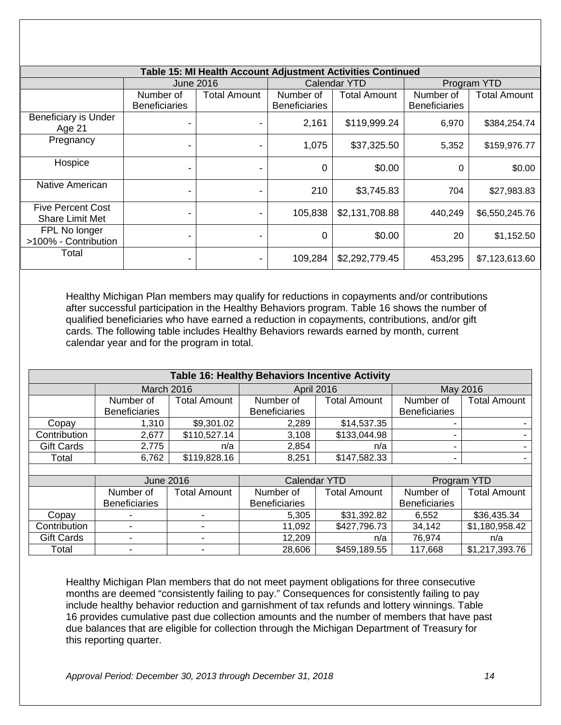|                                                    |                                   |                |                                   | Table 15: MI Health Account Adjustment Activities Continued |                                   |                |
|----------------------------------------------------|-----------------------------------|----------------|-----------------------------------|-------------------------------------------------------------|-----------------------------------|----------------|
|                                                    | <b>June 2016</b>                  |                |                                   | <b>Calendar YTD</b>                                         |                                   | Program YTD    |
|                                                    | Number of<br><b>Beneficiaries</b> | Total Amount   | Number of<br><b>Beneficiaries</b> | <b>Total Amount</b>                                         | Number of<br><b>Beneficiaries</b> | Total Amount   |
| Beneficiary is Under<br>Age 21                     |                                   |                | 2,161                             | \$119,999.24                                                | 6,970                             | \$384,254.74   |
| Pregnancy                                          |                                   |                | 1,075                             | \$37,325.50                                                 | 5,352                             | \$159,976.77   |
| Hospice                                            | $\blacksquare$                    | $\blacksquare$ | 0                                 | \$0.00                                                      | 0                                 | \$0.00         |
| Native American                                    |                                   |                | 210                               | \$3,745.83                                                  | 704                               | \$27,983.83    |
| <b>Five Percent Cost</b><br><b>Share Limit Met</b> |                                   |                | 105,838                           | \$2,131,708.88                                              | 440,249                           | \$6,550,245.76 |
| FPL No longer<br>>100% - Contribution              | -                                 |                | 0                                 | \$0.00                                                      | 20                                | \$1,152.50     |
| Total                                              | -                                 | $\blacksquare$ | 109,284                           | \$2,292,779.45                                              | 453,295                           | \$7,123,613.60 |

Healthy Michigan Plan members may qualify for reductions in copayments and/or contributions after successful participation in the Healthy Behaviors program. Table 16 shows the number of qualified beneficiaries who have earned a reduction in copayments, contributions, and/or gift cards. The following table includes Healthy Behaviors rewards earned by month, current calendar year and for the program in total.

<span id="page-15-0"></span>

| Table 16: Healthy Behaviors Incentive Activity |                      |                     |                      |                     |                      |                     |  |  |  |
|------------------------------------------------|----------------------|---------------------|----------------------|---------------------|----------------------|---------------------|--|--|--|
|                                                | <b>March 2016</b>    |                     | <b>April 2016</b>    |                     | May 2016             |                     |  |  |  |
|                                                | Number of            | <b>Total Amount</b> | Number of            | <b>Total Amount</b> | Number of            | <b>Total Amount</b> |  |  |  |
|                                                | <b>Beneficiaries</b> |                     | <b>Beneficiaries</b> |                     | <b>Beneficiaries</b> |                     |  |  |  |
| Copay                                          | 1,310                | \$9,301.02          | 2,289                | \$14,537.35         |                      |                     |  |  |  |
| Contribution                                   | 2,677                | \$110,527.14        | 3,108                | \$133,044.98        |                      |                     |  |  |  |
| <b>Gift Cards</b>                              | 2,775                | n/a                 | 2,854                | n/a                 |                      |                     |  |  |  |
| Total                                          | 6,762                | \$119,828.16        | 8,251                | \$147,582.33        |                      |                     |  |  |  |
|                                                |                      |                     |                      |                     |                      |                     |  |  |  |

|                   |                      | June 2016    |                      | Calendar YTD | Program YTD          |                     |
|-------------------|----------------------|--------------|----------------------|--------------|----------------------|---------------------|
|                   |                      |              |                      |              |                      |                     |
|                   | Number of            | Total Amount | Number of            | Total Amount | Number of            | <b>Total Amount</b> |
|                   | <b>Beneficiaries</b> |              | <b>Beneficiaries</b> |              | <b>Beneficiaries</b> |                     |
| Copay             |                      |              | 5,305                | \$31,392.82  | 6,552                | \$36,435.34         |
| Contribution      |                      |              | 11,092               | \$427,796.73 | 34,142               | \$1,180,958.42      |
| <b>Gift Cards</b> | -                    |              | 12,209               | n/a          | 76.974               | n/a                 |
| Total             | -                    |              | 28,606               | \$459,189.55 | 117,668              | \$1,217,393.76      |

Healthy Michigan Plan members that do not meet payment obligations for three consecutive months are deemed "consistently failing to pay." Consequences for consistently failing to pay include healthy behavior reduction and garnishment of tax refunds and lottery winnings. Table 16 provides cumulative past due collection amounts and the number of members that have past due balances that are eligible for collection through the Michigan Department of Treasury for this reporting quarter.

*Approval Period: December 30, 2013 through December 31, 2018 14*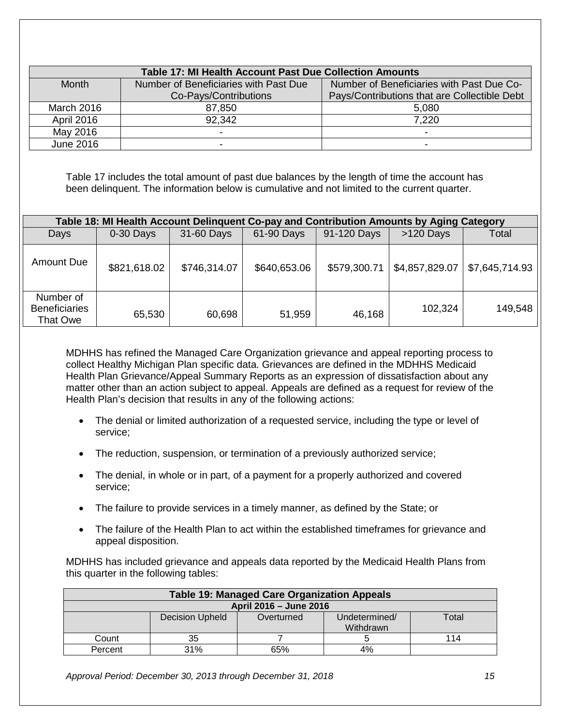<span id="page-16-0"></span>

|                   | Table 17: MI Health Account Past Due Collection Amounts                                                                                                                                       |                                                                                          |              |              |                                              |                |  |  |  |  |
|-------------------|-----------------------------------------------------------------------------------------------------------------------------------------------------------------------------------------------|------------------------------------------------------------------------------------------|--------------|--------------|----------------------------------------------|----------------|--|--|--|--|
| <b>Month</b>      |                                                                                                                                                                                               | Number of Beneficiaries with Past Due                                                    |              |              | Number of Beneficiaries with Past Due Co-    |                |  |  |  |  |
|                   |                                                                                                                                                                                               | Co-Pays/Contributions                                                                    |              |              | Pays/Contributions that are Collectible Debt |                |  |  |  |  |
| <b>March 2016</b> |                                                                                                                                                                                               | 87,850                                                                                   |              |              | 5,080                                        |                |  |  |  |  |
| April 2016        |                                                                                                                                                                                               | 92,342                                                                                   |              |              | 7,220                                        |                |  |  |  |  |
| May 2016          |                                                                                                                                                                                               |                                                                                          |              |              |                                              |                |  |  |  |  |
| <b>June 2016</b>  |                                                                                                                                                                                               |                                                                                          |              |              | $\overline{\phantom{0}}$                     |                |  |  |  |  |
|                   | Table 17 includes the total amount of past due balances by the length of time the account has<br>been delinquent. The information below is cumulative and not limited to the current quarter. |                                                                                          |              |              |                                              |                |  |  |  |  |
|                   |                                                                                                                                                                                               | Table 18: MI Health Account Delinquent Co-pay and Contribution Amounts by Aging Category |              |              |                                              |                |  |  |  |  |
| Days              | 0-30 Days                                                                                                                                                                                     | 31-60 Days                                                                               | 61-90 Days   | 91-120 Days  | >120 Days                                    | Total          |  |  |  |  |
| <b>Amount Due</b> | \$821,618.02                                                                                                                                                                                  | \$746,314.07                                                                             | \$640,653.06 | \$579,300.71 | \$4,857,829.07                               | \$7,645,714.93 |  |  |  |  |

MDHHS has refined the Managed Care Organization grievance and appeal reporting process to collect Healthy Michigan Plan specific data. Grievances are defined in the MDHHS Medicaid Health Plan Grievance/Appeal Summary Reports as an expression of dissatisfaction about any matter other than an action subject to appeal. Appeals are defined as a request for review of the Health Plan's decision that results in any of the following actions:

51,959

- The denial or limited authorization of a requested service, including the type or level of service;
- The reduction, suspension, or termination of a previously authorized service;

60,698

- The denial, in whole or in part, of a payment for a properly authorized and covered service;
- The failure to provide services in a timely manner, as defined by the State; or
- The failure of the Health Plan to act within the established timeframes for grievance and appeal disposition.

MDHHS has included grievance and appeals data reported by the Medicaid Health Plans from this quarter in the following tables:

<span id="page-16-2"></span>

| <b>Table 19: Managed Care Organization Appeals</b> |                        |            |                            |       |  |  |  |
|----------------------------------------------------|------------------------|------------|----------------------------|-------|--|--|--|
| April 2016 - June 2016                             |                        |            |                            |       |  |  |  |
|                                                    | <b>Decision Upheld</b> | Overturned | Undetermined/<br>Withdrawn | Total |  |  |  |
| Count                                              | 35                     |            |                            | 114   |  |  |  |
| Percent                                            | 31%                    | 65%        | 4%                         |       |  |  |  |

*Approval Period: December 30, 2013 through December 31, 2018 15*

<span id="page-16-1"></span>Number of **Beneficiaries** That Owe

65,530

46,168 102,324 149,548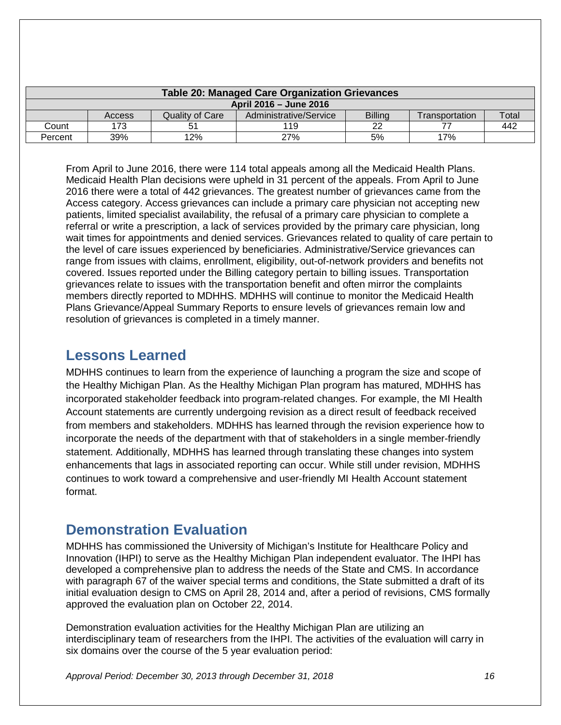<span id="page-17-0"></span>

| Table 20: Managed Care Organization Grievances |               |                 |                        |                |                |       |
|------------------------------------------------|---------------|-----------------|------------------------|----------------|----------------|-------|
| April 2016 - June 2016                         |               |                 |                        |                |                |       |
|                                                | <b>Access</b> | Quality of Care | Administrative/Service | <b>Billing</b> | Transportation | Total |
| Count                                          | 173           | 51              | 119                    | າາ             |                | 442   |
| Percent                                        | 39%           | 12%             | 27%                    | 5%             | 17%            |       |

From April to June 2016, there were 114 total appeals among all the Medicaid Health Plans. Medicaid Health Plan decisions were upheld in 31 percent of the appeals. From April to June 2016 there were a total of 442 grievances. The greatest number of grievances came from the Access category. Access grievances can include a primary care physician not accepting new patients, limited specialist availability, the refusal of a primary care physician to complete a referral or write a prescription, a lack of services provided by the primary care physician, long wait times for appointments and denied services. Grievances related to quality of care pertain to the level of care issues experienced by beneficiaries. Administrative/Service grievances can range from issues with claims, enrollment, eligibility, out-of-network providers and benefits not covered. Issues reported under the Billing category pertain to billing issues. Transportation grievances relate to issues with the transportation benefit and often mirror the complaints members directly reported to MDHHS. MDHHS will continue to monitor the Medicaid Health Plans Grievance/Appeal Summary Reports to ensure levels of grievances remain low and resolution of grievances is completed in a timely manner.

## <span id="page-17-1"></span>**Lessons Learned**

MDHHS continues to learn from the experience of launching a program the size and scope of the Healthy Michigan Plan. As the Healthy Michigan Plan program has matured, MDHHS has incorporated stakeholder feedback into program-related changes. For example, the MI Health Account statements are currently undergoing revision as a direct result of feedback received from members and stakeholders. MDHHS has learned through the revision experience how to incorporate the needs of the department with that of stakeholders in a single member-friendly statement. Additionally, MDHHS has learned through translating these changes into system enhancements that lags in associated reporting can occur. While still under revision, MDHHS continues to work toward a comprehensive and user-friendly MI Health Account statement format.

## <span id="page-17-2"></span>**Demonstration Evaluation**

MDHHS has commissioned the University of Michigan's Institute for Healthcare Policy and Innovation (IHPI) to serve as the Healthy Michigan Plan independent evaluator. The IHPI has developed a comprehensive plan to address the needs of the State and CMS. In accordance with paragraph 67 of the waiver special terms and conditions, the State submitted a draft of its initial evaluation design to CMS on April 28, 2014 and, after a period of revisions, CMS formally approved the evaluation plan on October 22, 2014.

Demonstration evaluation activities for the Healthy Michigan Plan are utilizing an interdisciplinary team of researchers from the IHPI. The activities of the evaluation will carry in six domains over the course of the 5 year evaluation period:

*Approval Period: December 30, 2013 through December 31, 2018 16*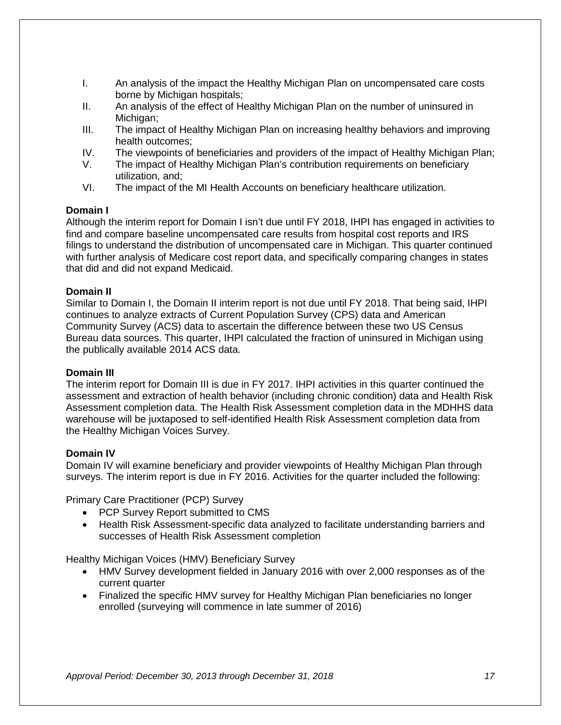- I. An analysis of the impact the Healthy Michigan Plan on uncompensated care costs borne by Michigan hospitals;
- II. An analysis of the effect of Healthy Michigan Plan on the number of uninsured in Michigan:
- III. The impact of Healthy Michigan Plan on increasing healthy behaviors and improving health outcomes;
- IV. The viewpoints of beneficiaries and providers of the impact of Healthy Michigan Plan;
- The impact of Healthy Michigan Plan's contribution requirements on beneficiary utilization, and;
- VI. The impact of the MI Health Accounts on beneficiary healthcare utilization.

#### **Domain I**

Although the interim report for Domain I isn't due until FY 2018, IHPI has engaged in activities to find and compare baseline uncompensated care results from hospital cost reports and IRS filings to understand the distribution of uncompensated care in Michigan. This quarter continued with further analysis of Medicare cost report data, and specifically comparing changes in states that did and did not expand Medicaid.

#### **Domain II**

Similar to Domain I, the Domain II interim report is not due until FY 2018. That being said, IHPI continues to analyze extracts of Current Population Survey (CPS) data and American Community Survey (ACS) data to ascertain the difference between these two US Census Bureau data sources. This quarter, IHPI calculated the fraction of uninsured in Michigan using the publically available 2014 ACS data.

#### **Domain III**

The interim report for Domain III is due in FY 2017. IHPI activities in this quarter continued the assessment and extraction of health behavior (including chronic condition) data and Health Risk Assessment completion data. The Health Risk Assessment completion data in the MDHHS data warehouse will be juxtaposed to self-identified Health Risk Assessment completion data from the Healthy Michigan Voices Survey.

#### **Domain IV**

Domain IV will examine beneficiary and provider viewpoints of Healthy Michigan Plan through surveys. The interim report is due in FY 2016. Activities for the quarter included the following:

Primary Care Practitioner (PCP) Survey

- PCP Survey Report submitted to CMS
- Health Risk Assessment-specific data analyzed to facilitate understanding barriers and successes of Health Risk Assessment completion

Healthy Michigan Voices (HMV) Beneficiary Survey

- HMV Survey development fielded in January 2016 with over 2,000 responses as of the current quarter
- Finalized the specific HMV survey for Healthy Michigan Plan beneficiaries no longer enrolled (surveying will commence in late summer of 2016)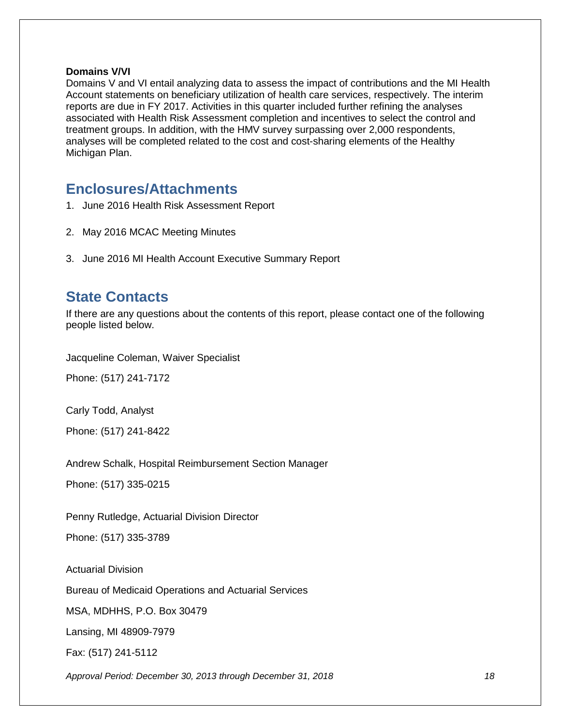#### **Domains V/VI**

Domains V and VI entail analyzing data to assess the impact of contributions and the MI Health Account statements on beneficiary utilization of health care services, respectively. The interim reports are due in FY 2017. Activities in this quarter included further refining the analyses associated with Health Risk Assessment completion and incentives to select the control and treatment groups. In addition, with the HMV survey surpassing over 2,000 respondents, analyses will be completed related to the cost and cost-sharing elements of the Healthy Michigan Plan.

## <span id="page-19-0"></span>**Enclosures/Attachments**

- 1. June 2016 Health Risk Assessment Report
- 2. May 2016 MCAC Meeting Minutes
- 3. June 2016 MI Health Account Executive Summary Report

## <span id="page-19-1"></span>**State Contacts**

If there are any questions about the contents of this report, please contact one of the following people listed below.

Jacqueline Coleman, Waiver Specialist

Phone: (517) 241-7172

Carly Todd, Analyst

Phone: (517) 241-8422

Andrew Schalk, Hospital Reimbursement Section Manager

Phone: (517) 335-0215

Penny Rutledge, Actuarial Division Director

Phone: (517) 335-3789

Actuarial Division

Bureau of Medicaid Operations and Actuarial Services

MSA, MDHHS, P.O. Box 30479

Lansing, MI 48909-7979

Fax: (517) 241-5112

*Approval Period: December 30, 2013 through December 31, 2018 18*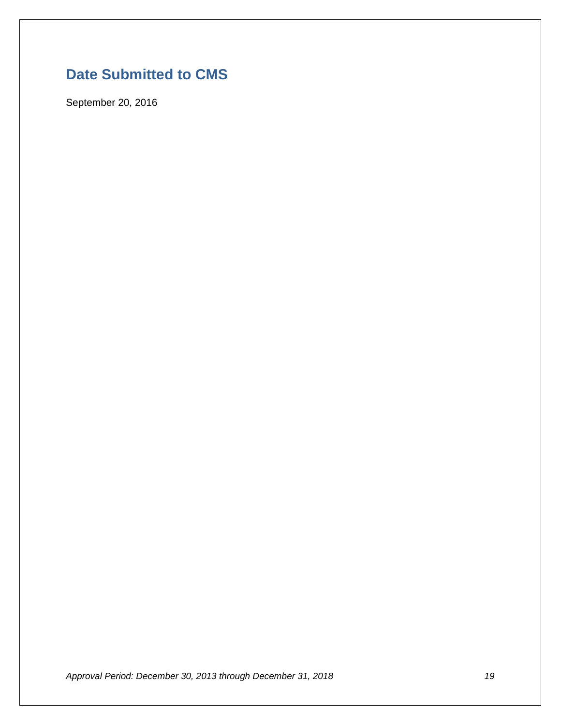# <span id="page-20-0"></span>**Date Submitted to CMS**

September 20, 2016

*Approval Period: December 30, 2013 through December 31, 2018 19*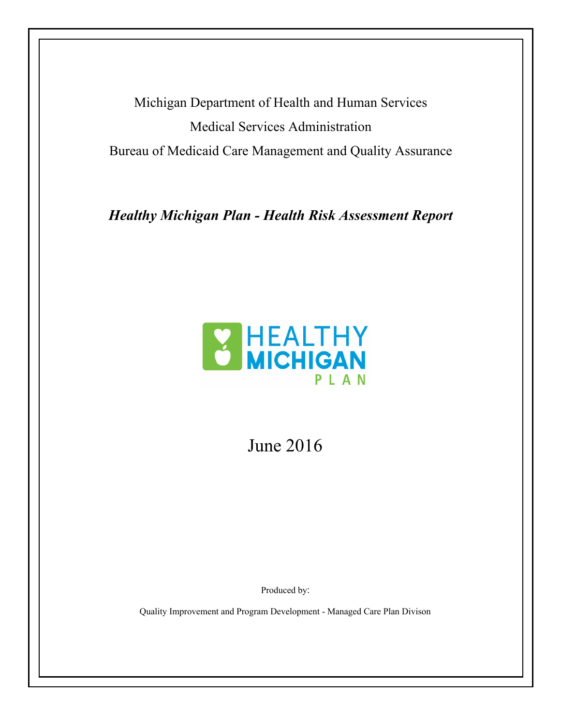Michigan Department of Health and Human Services Medical Services Administration Bureau of Medicaid Care Management and Quality Assurance

*Healthy Michigan Plan - Health Risk Assessment Report*



June 2016

Produced by:

Quality Improvement and Program Development - Managed Care Plan Divison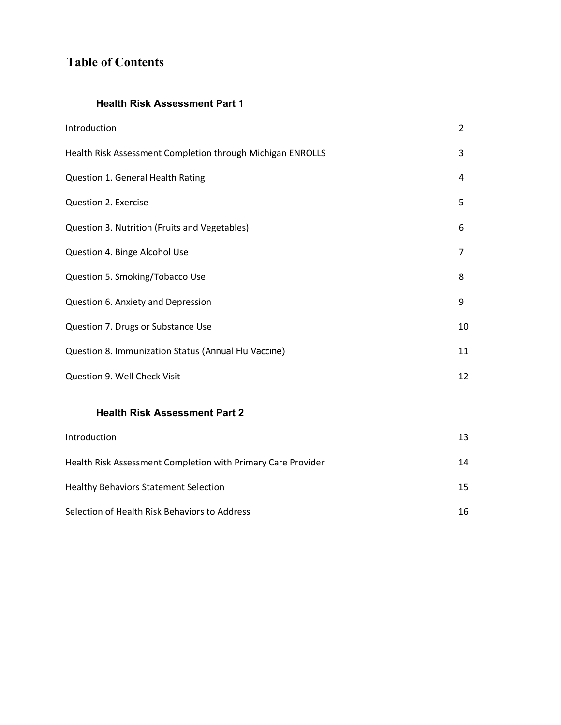## **Table of Contents**

## **Health Risk Assessment Part 1**

| Introduction                                               | $\overline{2}$ |
|------------------------------------------------------------|----------------|
| Health Risk Assessment Completion through Michigan ENROLLS | 3              |
| Question 1. General Health Rating                          | 4              |
| Question 2. Exercise                                       | 5              |
| Question 3. Nutrition (Fruits and Vegetables)              | 6              |
| Question 4. Binge Alcohol Use                              | 7              |
| Question 5. Smoking/Tobacco Use                            | 8              |
| Question 6. Anxiety and Depression                         | 9              |
| Question 7. Drugs or Substance Use                         | 10             |
| Question 8. Immunization Status (Annual Flu Vaccine)       | 11             |
| Question 9. Well Check Visit                               | 12             |
|                                                            |                |

## **Health Risk Assessment Part 2**

| Introduction                                                 | 13              |
|--------------------------------------------------------------|-----------------|
| Health Risk Assessment Completion with Primary Care Provider | 14              |
| <b>Healthy Behaviors Statement Selection</b>                 | 15 <sub>1</sub> |
| Selection of Health Risk Behaviors to Address                | 16              |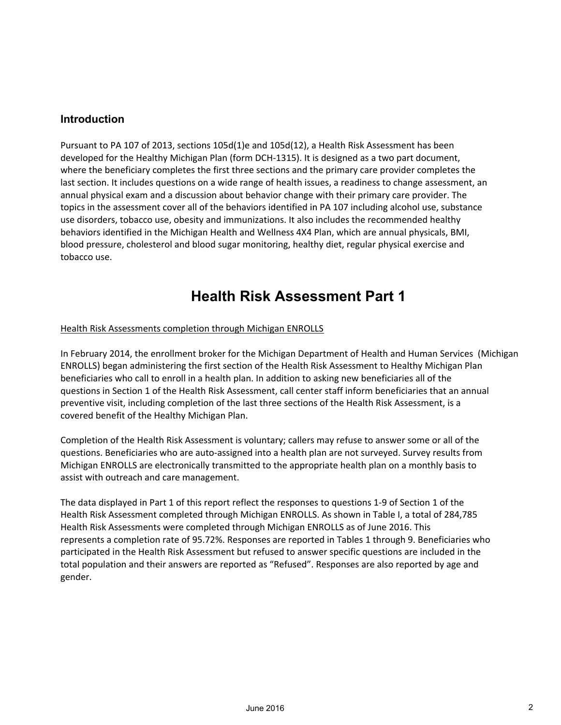## **Introduction**

Pursuant to PA 107 of 2013, sections 105d(1)e and 105d(12), a Health Risk Assessment has been developed for the Healthy Michigan Plan (form DCH‐1315). It is designed as a two part document, where the beneficiary completes the first three sections and the primary care provider completes the last section. It includes questions on a wide range of health issues, a readiness to change assessment, an annual physical exam and a discussion about behavior change with their primary care provider. The topics in the assessment cover all of the behaviors identified in PA 107 including alcohol use, substance use disorders, tobacco use, obesity and immunizations. It also includes the recommended healthy behaviors identified in the Michigan Health and Wellness 4X4 Plan, which are annual physicals, BMI, blood pressure, cholesterol and blood sugar monitoring, healthy diet, regular physical exercise and tobacco use.

# **Health Risk Assessment Part 1**

#### Health Risk Assessments completion through Michigan ENROLLS

In February 2014, the enrollment broker for the Michigan Department of Health and Human Services (Michigan ENROLLS) began administering the first section of the Health Risk Assessment to Healthy Michigan Plan beneficiaries who call to enroll in a health plan. In addition to asking new beneficiaries all of the questions in Section 1 of the Health Risk Assessment, call center staff inform beneficiaries that an annual preventive visit, including completion of the last three sections of the Health Risk Assessment, is a covered benefit of the Healthy Michigan Plan.

Completion of the Health Risk Assessment is voluntary; callers may refuse to answer some or all of the questions. Beneficiaries who are auto-assigned into a health plan are not surveyed. Survey results from Michigan ENROLLS are electronically transmitted to the appropriate health plan on a monthly basis to assist with outreach and care management.

The data displayed in Part 1 of this report reflect the responses to questions 1‐9 of Section 1 of the Health Risk Assessment completed through Michigan ENROLLS. As shown in Table I, a total of 284,785 Health Risk Assessments were completed through Michigan ENROLLS as of June 2016. This represents a completion rate of 95.72%. Responses are reported in Tables 1 through 9. Beneficiaries who participated in the Health Risk Assessment but refused to answer specific questions are included in the total population and their answers are reported as "Refused". Responses are also reported by age and gender.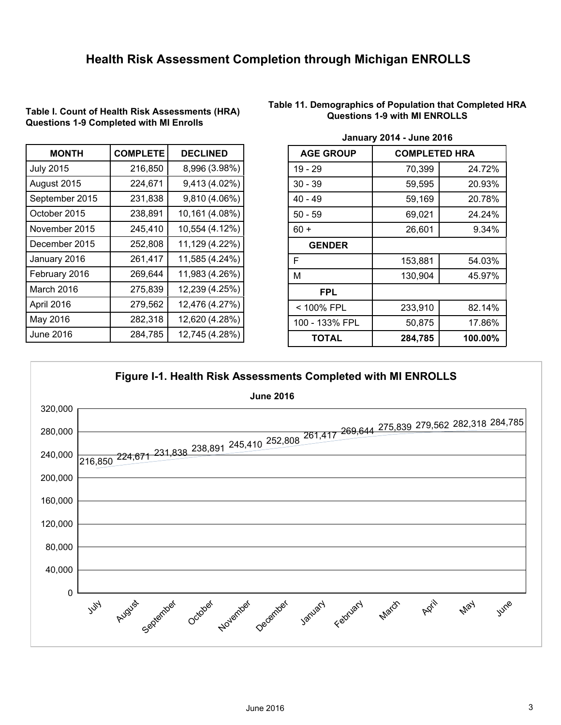## **Health Risk Assessment Completion through Michigan ENROLLS**

| <b>MONTH</b>     | <b>COMPLETE</b> | <b>DECLINED</b> |
|------------------|-----------------|-----------------|
| <b>July 2015</b> | 216,850         | 8,996 (3.98%)   |
| August 2015      | 224,671         | 9,413 (4.02%)   |
| September 2015   | 231,838         | 9,810 (4.06%)   |
| October 2015     | 238,891         | 10,161 (4.08%)  |
| November 2015    | 245,410         | 10,554 (4.12%)  |
| December 2015    | 252,808         | 11,129 (4.22%)  |
| January 2016     | 261,417         | 11,585 (4.24%)  |
| February 2016    | 269,644         | 11,983 (4.26%)  |
| March 2016       | 275,839         | 12,239 (4.25%)  |
| April 2016       | 279,562         | 12,476 (4.27%)  |
| May 2016         | 282,318         | 12,620 (4.28%)  |
| June 2016        | 284,785         | 12,745 (4.28%)  |

**Table I. Count of Health Risk Assessments (HRA) Questions 1-9 Completed with MI Enrolls**

#### **Table 11. Demographics of Population that Completed HRA Questions 1-9 with MI ENROLLS**

| <b>AGE GROUP</b> | <b>COMPLETED HRA</b> |         |
|------------------|----------------------|---------|
| 19 - 29          | 70,399               | 24.72%  |
| $30 - 39$        | 59,595               | 20.93%  |
| $40 - 49$        | 59,169               | 20.78%  |
| $50 - 59$        | 69,021               | 24.24%  |
| $60 +$           | 26,601               | 9.34%   |
| <b>GENDER</b>    |                      |         |
| F                | 153,881              | 54.03%  |
| Μ                | 130,904              | 45.97%  |
| <b>FPL</b>       |                      |         |
| < 100% FPL       | 233,910              | 82.14%  |
| 100 - 133% FPL   | 50,875               | 17.86%  |
| TOTAL            | 284,785              | 100.00% |

#### **January 2014 - June 2016**

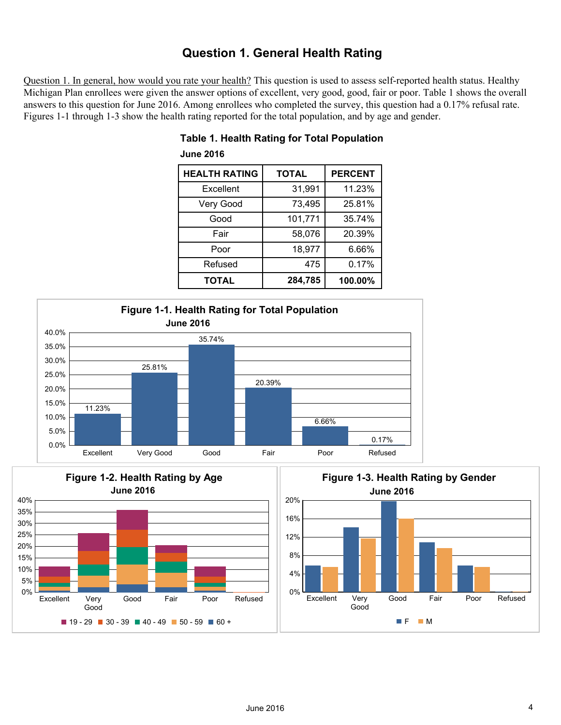## **Question 1. General Health Rating**

Question 1. In general, how would you rate your health? This question is used to assess self-reported health status. Healthy Michigan Plan enrollees were given the answer options of excellent, very good, good, fair or poor. Table 1 shows the overall answers to this question for June 2016. Among enrollees who completed the survey, this question had a 0.17% refusal rate. Figures 1-1 through 1-3 show the health rating reported for the total population, and by age and gender.

| <b>HEALTH RATING</b> | <b>TOTAL</b> | <b>PERCENT</b> |
|----------------------|--------------|----------------|
| Excellent            | 31,991       | 11.23%         |
| Very Good            | 73,495       | 25.81%         |
| Good                 | 101,771      | 35.74%         |
| Fair                 | 58,076       | 20.39%         |
| Poor                 | 18,977       | 6.66%          |
| Refused              | 475          | 0.17%          |
| <b>TOTAL</b>         | 284,785      | 100.00%        |

## **Table 1. Health Rating for Total Population June 2016**





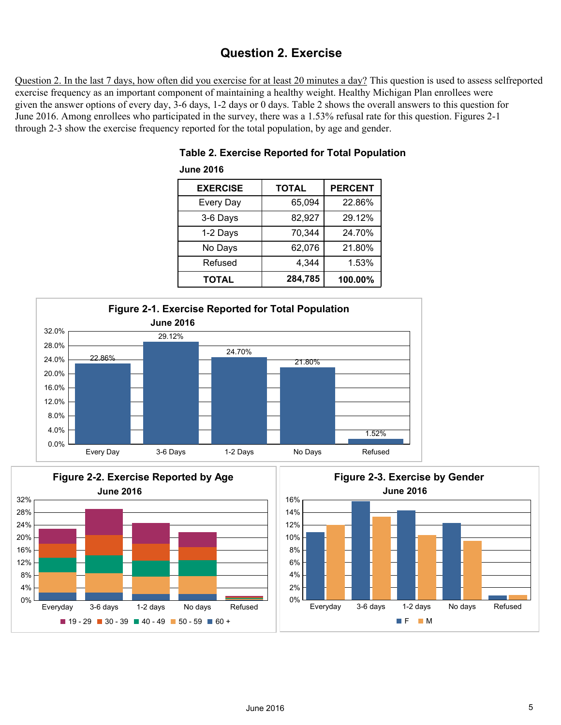## **Question 2. Exercise**

Question 2. In the last 7 days, how often did you exercise for at least 20 minutes a day? This question is used to assess selfreported exercise frequency as an important component of maintaining a healthy weight. Healthy Michigan Plan enrollees were given the answer options of every day, 3-6 days, 1-2 days or 0 days. Table 2 shows the overall answers to this question for June 2016. Among enrollees who participated in the survey, there was a 1.53% refusal rate for this question. Figures 2-1 through 2-3 show the exercise frequency reported for the total population, by age and gender.

| <b>EXERCISE</b> | <b>TOTAL</b> | <b>PERCENT</b> |
|-----------------|--------------|----------------|
| Every Day       | 65,094       | 22.86%         |
| 3-6 Days        | 82,927       | 29.12%         |
| 1-2 Days        | 70,344       | 24.70%         |
| No Days         | 62,076       | 21.80%         |
| Refused         | 4,344        | 1.53%          |
| <b>TOTAL</b>    | 284,785      | 100.00%        |

## **Table 2. Exercise Reported for Total Population June 2016**





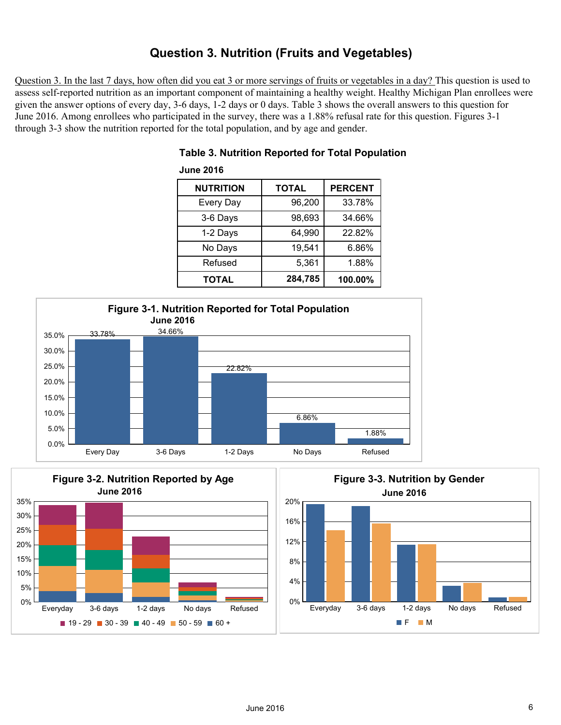## **Question 3. Nutrition (Fruits and Vegetables)**

Question 3. In the last 7 days, how often did you eat 3 or more servings of fruits or vegetables in a day? This question is used to assess self-reported nutrition as an important component of maintaining a healthy weight. Healthy Michigan Plan enrollees were given the answer options of every day, 3-6 days, 1-2 days or 0 days. Table 3 shows the overall answers to this question for June 2016. Among enrollees who participated in the survey, there was a 1.88% refusal rate for this question. Figures 3-1 through 3-3 show the nutrition reported for the total population, and by age and gender.

| <b>NUTRITION</b> | <b>TOTAL</b> | <b>PERCENT</b> |
|------------------|--------------|----------------|
| <b>Every Day</b> | 96,200       | 33.78%         |
| 3-6 Days         | 98,693       | 34.66%         |
| 1-2 Days         | 64,990       | 22.82%         |
| No Days          | 19,541       | 6.86%          |
| Refused          | 5,361        | 1.88%          |
| <b>TOTAL</b>     | 284,785      | 100.00%        |

## **Table 3. Nutrition Reported for Total Population**



**June 2016**



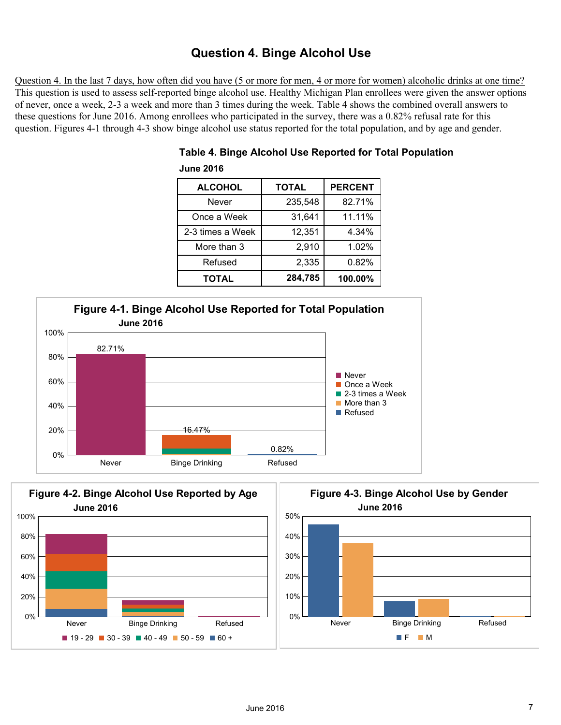## **Question 4. Binge Alcohol Use**

Question 4. In the last 7 days, how often did you have (5 or more for men, 4 or more for women) alcoholic drinks at one time? This question is used to assess self-reported binge alcohol use. Healthy Michigan Plan enrollees were given the answer options of never, once a week, 2-3 a week and more than 3 times during the week. Table 4 shows the combined overall answers to these questions for June 2016. Among enrollees who participated in the survey, there was a 0.82% refusal rate for this question. Figures 4-1 through 4-3 show binge alcohol use status reported for the total population, and by age and gender.

| <b>ALCOHOL</b>   | <b>TOTAL</b> | <b>PERCENT</b> |
|------------------|--------------|----------------|
| Never            | 235,548      | 82.71%         |
| Once a Week      | 31,641       | 11.11%         |
| 2-3 times a Week | 12,351       | 4.34%          |
| More than 3      | 2,910        | 1.02%          |
| Refused          | 2,335        | 0.82%          |
| <b>TOTAL</b>     | 284,785      | 100.00%        |

## **Table 4. Binge Alcohol Use Reported for Total Population June 2016**





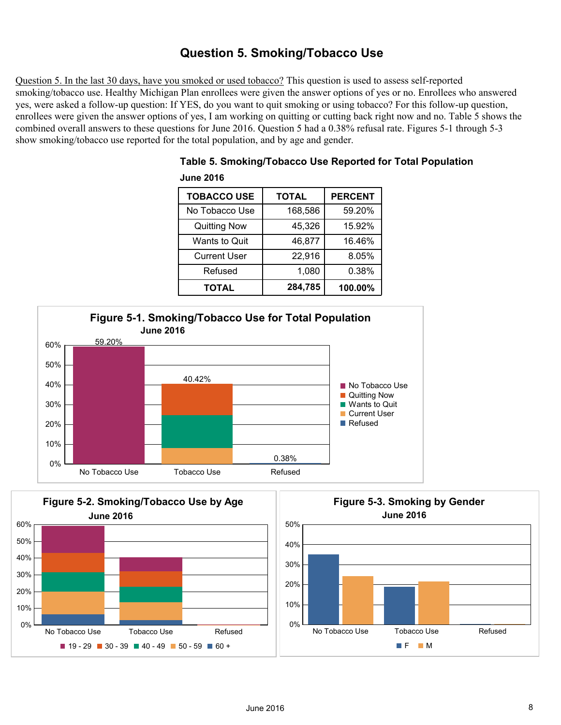## **Question 5. Smoking/Tobacco Use**

Question 5. In the last 30 days, have you smoked or used tobacco? This question is used to assess self-reported smoking/tobacco use. Healthy Michigan Plan enrollees were given the answer options of yes or no. Enrollees who answered yes, were asked a follow-up question: If YES, do you want to quit smoking or using tobacco? For this follow-up question, enrollees were given the answer options of yes, I am working on quitting or cutting back right now and no. Table 5 shows the combined overall answers to these questions for June 2016. Question 5 had a 0.38% refusal rate. Figures 5-1 through 5-3 show smoking/tobacco use reported for the total population, and by age and gender.

| <b>TOBACCO USE</b>   | <b>TOTAL</b> | <b>PERCENT</b> |
|----------------------|--------------|----------------|
| No Tobacco Use       | 168,586      | 59.20%         |
| <b>Quitting Now</b>  | 45,326       | 15.92%         |
| <b>Wants to Quit</b> | 46,877       | 16.46%         |
| <b>Current User</b>  | 22,916       | 8.05%          |
| Refused              | 1,080        | 0.38%          |
| <b>TOTAL</b>         | 284,785      | 100.00%        |

| Table 5. Smoking/Tobacco Use Reported for Total Population |  |
|------------------------------------------------------------|--|
| June 2016.                                                 |  |



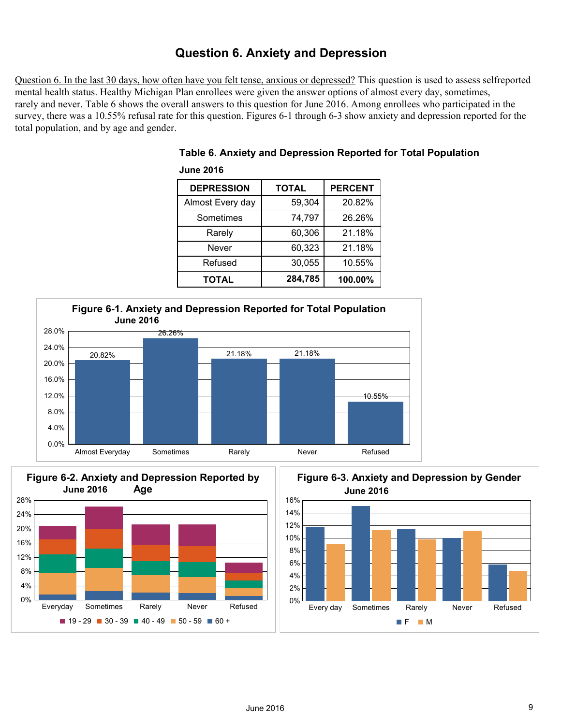## **Question 6. Anxiety and Depression**

Question 6. In the last 30 days, how often have you felt tense, anxious or depressed? This question is used to assess selfreported mental health status. Healthy Michigan Plan enrollees were given the answer options of almost every day, sometimes, rarely and never. Table 6 shows the overall answers to this question for June 2016. Among enrollees who participated in the survey, there was a 10.55% refusal rate for this question. Figures 6-1 through 6-3 show anxiety and depression reported for the total population, and by age and gender.

| <b>DEPRESSION</b> | <b>TOTAL</b> | <b>PERCENT</b> |
|-------------------|--------------|----------------|
| Almost Every day  | 59,304       | 20.82%         |
| Sometimes         | 74,797       | 26.26%         |
| Rarely            | 60,306       | 21.18%         |
| Never             | 60,323       | 21.18%         |
| Refused           | 30,055       | 10.55%         |
| TOTAL             | 284,785      | 100.00%        |





**June 2016**





F M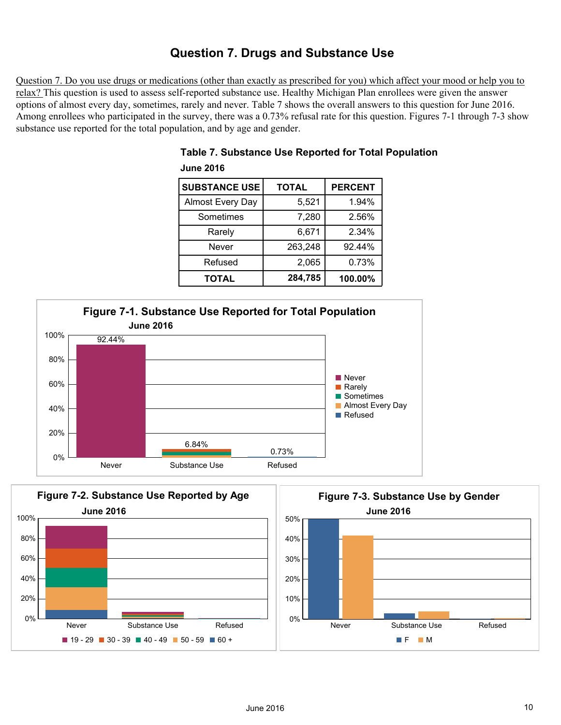## **Question 7. Drugs and Substance Use**

Question 7. Do you use drugs or medications (other than exactly as prescribed for you) which affect your mood or help you to relax? This question is used to assess self-reported substance use. Healthy Michigan Plan enrollees were given the answer options of almost every day, sometimes, rarely and never. Table 7 shows the overall answers to this question for June 2016. Among enrollees who participated in the survey, there was a 0.73% refusal rate for this question. Figures 7-1 through 7-3 show substance use reported for the total population, and by age and gender.

| <b>SUBSTANCE USE</b>    | <b>TOTAL</b> | <b>PERCENT</b> |
|-------------------------|--------------|----------------|
| <b>Almost Every Day</b> | 5,521        | 1.94%          |
| Sometimes               | 7,280        | 2.56%          |
| Rarely                  | 6,671        | 2.34%          |
| Never                   | 263,248      | 92.44%         |
| Refused                 | 2,065        | 0.73%          |
| TOTAL                   | 284,785      | 100.00%        |

## **Table 7. Substance Use Reported for Total Population June 2016**



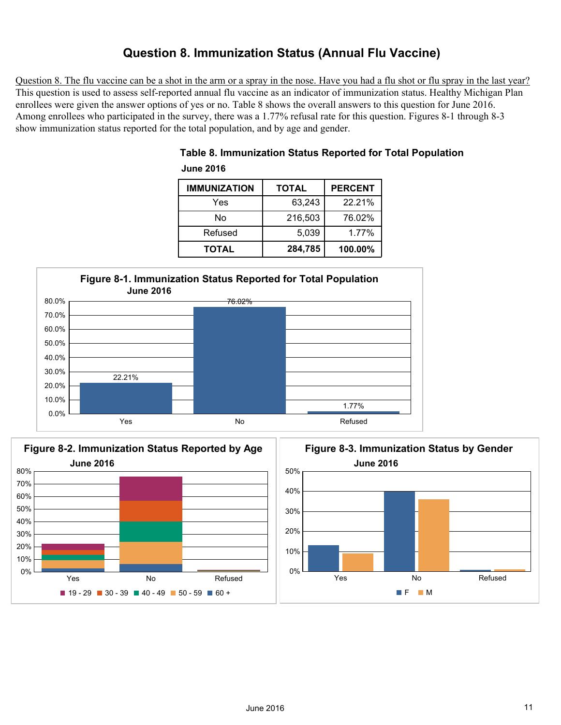## **Question 8. Immunization Status (Annual Flu Vaccine)**

Question 8. The flu vaccine can be a shot in the arm or a spray in the nose. Have you had a flu shot or flu spray in the last year? This question is used to assess self-reported annual flu vaccine as an indicator of immunization status. Healthy Michigan Plan enrollees were given the answer options of yes or no. Table 8 shows the overall answers to this question for June 2016. Among enrollees who participated in the survey, there was a 1.77% refusal rate for this question. Figures 8-1 through 8-3 show immunization status reported for the total population, and by age and gender.

| <b>June 2016</b>    |              |                |
|---------------------|--------------|----------------|
| <b>IMMUNIZATION</b> | <b>TOTAL</b> | <b>PERCENT</b> |
| Yes                 | 63,243       | 22.21%         |
| No                  | 216,503      | 76.02%         |
| Refused             | 5,039        | 1.77%          |
| <b>TOTAL</b>        | 284,785      | 100.00%        |

## 10.0% 20.0% 30.0% 40.0% 50.0% 60.0% 70.0% 80.0% 22.21% 76.02% 1.77% **Figure 8-1. Immunization Status Reported for Total Population June 2016**

Yes and the No Refused Refused



0.0%



**Table 8. Immunization Status Reported for Total Population**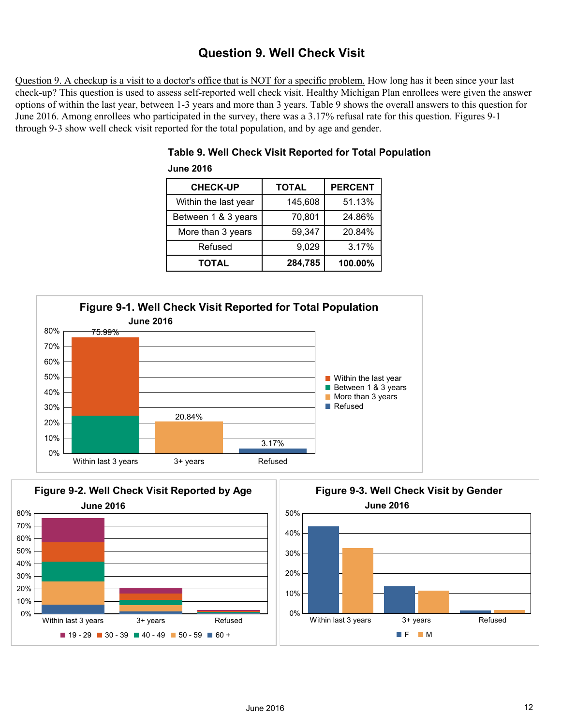## **Question 9. Well Check Visit**

Question 9. A checkup is a visit to a doctor's office that is NOT for a specific problem. How long has it been since your last check-up? This question is used to assess self-reported well check visit. Healthy Michigan Plan enrollees were given the answer options of within the last year, between 1-3 years and more than 3 years. Table 9 shows the overall answers to this question for June 2016. Among enrollees who participated in the survey, there was a 3.17% refusal rate for this question. Figures 9-1 through 9-3 show well check visit reported for the total population, and by age and gender.

| <b>CHECK-UP</b>      | <b>TOTAL</b> | <b>PERCENT</b> |
|----------------------|--------------|----------------|
| Within the last year | 145,608      | 51.13%         |
| Between 1 & 3 years  | 70,801       | 24.86%         |
| More than 3 years    | 59,347       | 20.84%         |
| Refused              | 9,029        | 3.17%          |
| TOTAL                | 284,785      | 100.00%        |

## **Table 9. Well Check Visit Reported for Total Population June 2016**





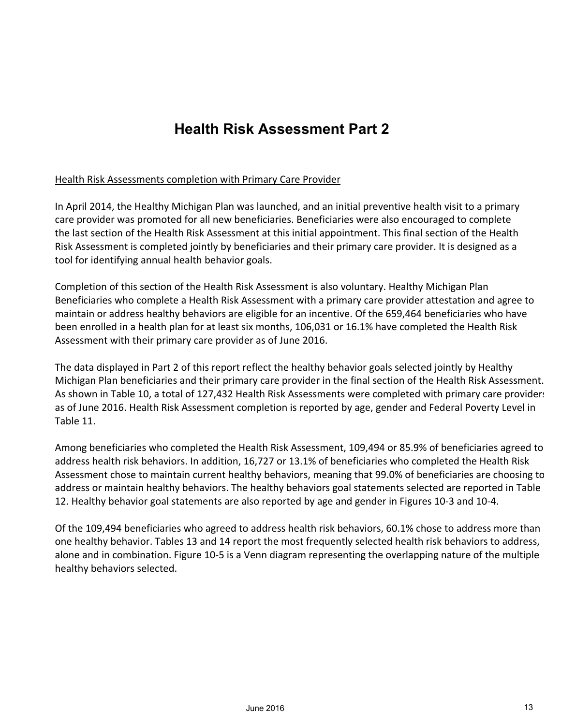# **Health Risk Assessment Part 2**

#### Health Risk Assessments completion with Primary Care Provider

In April 2014, the Healthy Michigan Plan was launched, and an initial preventive health visit to a primary care provider was promoted for all new beneficiaries. Beneficiaries were also encouraged to complete the last section of the Health Risk Assessment at this initial appointment. This final section of the Health Risk Assessment is completed jointly by beneficiaries and their primary care provider. It is designed as a tool for identifying annual health behavior goals.

Completion of this section of the Health Risk Assessment is also voluntary. Healthy Michigan Plan Beneficiaries who complete a Health Risk Assessment with a primary care provider attestation and agree to maintain or address healthy behaviors are eligible for an incentive. Of the 659,464 beneficiaries who have been enrolled in a health plan for at least six months, 106,031 or 16.1% have completed the Health Risk Assessment with their primary care provider as of June 2016.

The data displayed in Part 2 of this report reflect the healthy behavior goals selected jointly by Healthy Michigan Plan beneficiaries and their primary care provider in the final section of the Health Risk Assessment. As shown in Table 10, a total of 127,432 Health Risk Assessments were completed with primary care providers as of June 2016. Health Risk Assessment completion is reported by age, gender and Federal Poverty Level in Table 11.

Among beneficiaries who completed the Health Risk Assessment, 109,494 or 85.9% of beneficiaries agreed to address health risk behaviors. In addition, 16,727 or 13.1% of beneficiaries who completed the Health Risk Assessment chose to maintain current healthy behaviors, meaning that 99.0% of beneficiaries are choosing to address or maintain healthy behaviors. The healthy behaviors goal statements selected are reported in Table 12. Healthy behavior goal statements are also reported by age and gender in Figures 10-3 and 10-4.

Of the 109,494 beneficiaries who agreed to address health risk behaviors, 60.1% chose to address more than one healthy behavior. Tables 13 and 14 report the most frequently selected health risk behaviors to address, alone and in combination. Figure 10-5 is a Venn diagram representing the overlapping nature of the multiple healthy behaviors selected.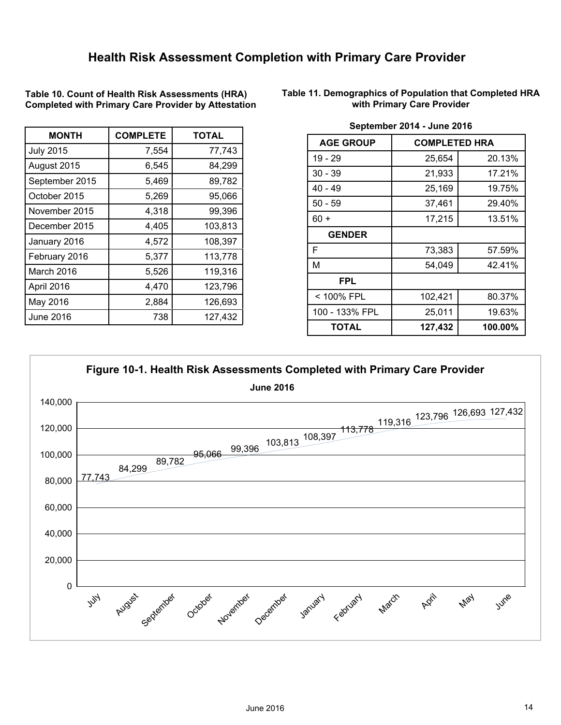**Table 10. Count of Health Risk Assessments (HRA) Completed with Primary Care Provider by Attestation**

| <b>MONTH</b>     | <b>COMPLETE</b> | <b>TOTAL</b> |
|------------------|-----------------|--------------|
| <b>July 2015</b> | 7,554           | 77,743       |
| August 2015      | 6,545           | 84,299       |
| September 2015   | 5,469           | 89,782       |
| October 2015     | 5,269           | 95,066       |
| November 2015    | 4,318           | 99,396       |
| December 2015    | 4,405           | 103,813      |
| January 2016     | 4,572           | 108,397      |
| February 2016    | 5,377           | 113,778      |
| March 2016       | 5,526           | 119,316      |
| April 2016       | 4,470           | 123,796      |
| May 2016         | 2,884           | 126,693      |
| <b>June 2016</b> | 738             | 127,432      |

**Table 11. Demographics of Population that Completed HRA with Primary Care Provider**

| <b>AGE GROUP</b> | <b>COMPLETED HRA</b> |         |  |  |  |
|------------------|----------------------|---------|--|--|--|
| 19 - 29          | 25,654               | 20.13%  |  |  |  |
| $30 - 39$        | 21,933               | 17.21%  |  |  |  |
| $40 - 49$        | 25,169               | 19.75%  |  |  |  |
| $50 - 59$        | 37,461               | 29.40%  |  |  |  |
| $60 +$           | 17,215               | 13.51%  |  |  |  |
| <b>GENDER</b>    |                      |         |  |  |  |
| F                | 73,383               | 57.59%  |  |  |  |
| M                | 54,049               | 42.41%  |  |  |  |
| <b>FPL</b>       |                      |         |  |  |  |
| < 100% FPL       | 102,421              | 80.37%  |  |  |  |
| 100 - 133% FPL   | 25,011               | 19.63%  |  |  |  |
| <b>TOTAL</b>     | 127,432              | 100.00% |  |  |  |

**September 2014 - June 2016**

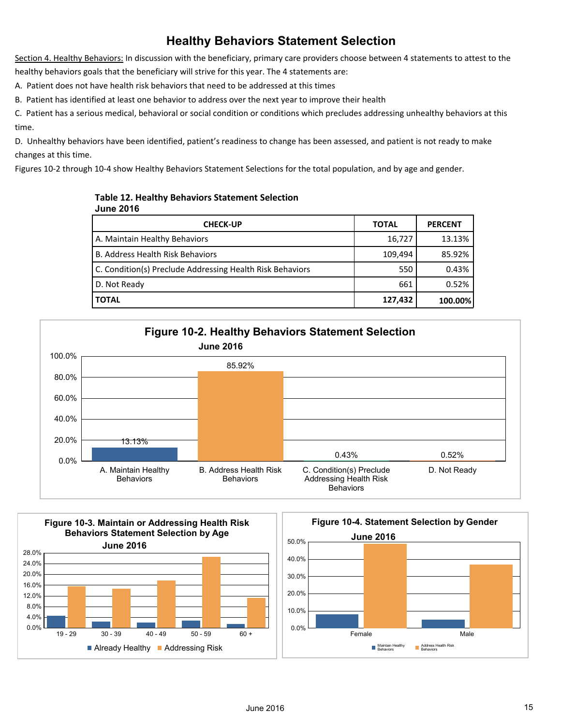## **Healthy Behaviors Statement Selection**

Section 4. Healthy Behaviors: In discussion with the beneficiary, primary care providers choose between 4 statements to attest to the healthy behaviors goals that the beneficiary will strive for this year. The 4 statements are:

A. Patient does not have health risk behaviors that need to be addressed at this times

B. Patient has identified at least one behavior to address over the next year to improve their health

C. Patient has a serious medical, behavioral or social condition or conditions which precludes addressing unhealthy behaviors at this time.

D. Unhealthy behaviors have been identified, patient's readiness to change has been assessed, and patient is not ready to make changes at this time.

Figures 10-2 through 10-4 show Healthy Behaviors Statement Selections for the total population, and by age and gender.

#### **Table 12. Healthy Behaviors Statement Selection June 2016**

| <b>CHECK-UP</b>                                           | <b>TOTAL</b> | <b>PERCENT</b> |
|-----------------------------------------------------------|--------------|----------------|
| A. Maintain Healthy Behaviors                             | 16,727       | 13.13%         |
| <b>B. Address Health Risk Behaviors</b>                   | 109,494      | 85.92%         |
| C. Condition(s) Preclude Addressing Health Risk Behaviors | 550          | 0.43%          |
| D. Not Ready                                              | 661          | 0.52%          |
| TOTAL                                                     | 127,432      | 100.00%        |



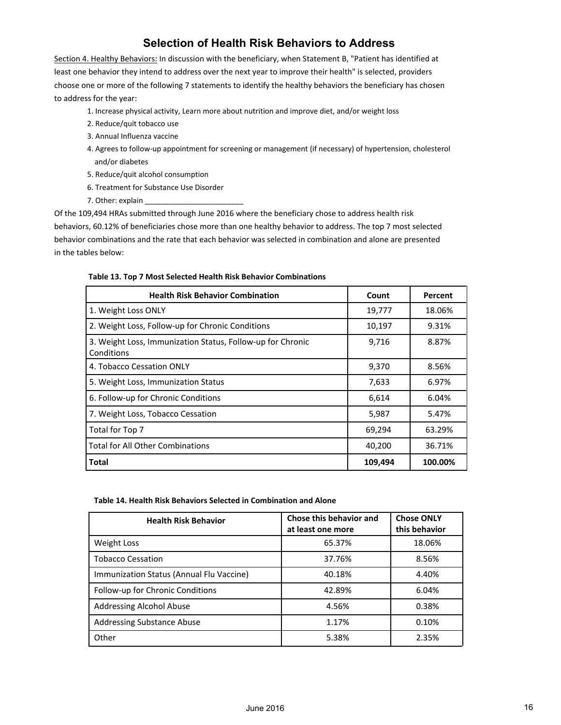## **Selection of Health Risk Behaviors to Address**

Section 4. Healthy Behaviors: In discussion with the beneficiary, when Statement B, "Patient has identified at least one behavior they intend to address over the next year to improve their health" is selected, providers choose one or more of the following 7 statements to identify the healthy behaviors the beneficiary has chosen to address for the year:

- 1. Increase physical activity, Learn more about nutrition and improve diet, and/or weight loss
- 2. Reduce/quit tobacco use
- 3. Annual Influenza vaccine
- 4. Agrees to follow-up appointment for screening or management (if necessary) of hypertension, cholesterol and/or diabetes
- 5. Reduce/quit alcohol consumption
- 6. Treatment for Substance Use Disorder
- 7. Other: explain

Of the 109,494 HRAs submitted through June 2016 where the beneficiary chose to address health risk behaviors, 60.12% of beneficiaries chose more than one healthy behavior to address. The top 7 most selected behavior combinations and the rate that each behavior was selected in combination and alone are presented in the tables below:

#### **Table 13. Top 7 Most Selected Health Risk Behavior Combinations**

| <b>Health Risk Behavior Combination</b>                                  | Count   | Percent |
|--------------------------------------------------------------------------|---------|---------|
| 1. Weight Loss ONLY                                                      | 19,777  | 18.06%  |
| 2. Weight Loss, Follow-up for Chronic Conditions                         | 10,197  | 9.31%   |
| 3. Weight Loss, Immunization Status, Follow-up for Chronic<br>Conditions | 9,716   | 8.87%   |
| 4. Tobacco Cessation ONLY                                                | 9,370   | 8.56%   |
| 5. Weight Loss, Immunization Status                                      | 7,633   | 6.97%   |
| 6. Follow-up for Chronic Conditions                                      | 6,614   | 6.04%   |
| 7. Weight Loss, Tobacco Cessation                                        | 5,987   | 5.47%   |
| Total for Top 7                                                          | 69,294  | 63.29%  |
| <b>Total for All Other Combinations</b>                                  | 40,200  | 36.71%  |
| Total                                                                    | 109,494 | 100.00% |

#### **Table 14. Health Risk Behaviors Selected in Combination and Alone**

| <b>Health Risk Behavior</b>              | Chose this behavior and<br>at least one more | <b>Chose ONLY</b><br>this behavior |
|------------------------------------------|----------------------------------------------|------------------------------------|
| <b>Weight Loss</b>                       | 65.37%                                       | 18.06%                             |
| <b>Tobacco Cessation</b>                 | 37.76%                                       | 8.56%                              |
| Immunization Status (Annual Flu Vaccine) | 40.18%                                       | 4.40%                              |
| Follow-up for Chronic Conditions         | 42.89%                                       | 6.04%                              |
| Addressing Alcohol Abuse                 | 4.56%                                        | 0.38%                              |
| <b>Addressing Substance Abuse</b>        | 1.17%                                        | 0.10%                              |
| Other                                    | 5.38%                                        | 2.35%                              |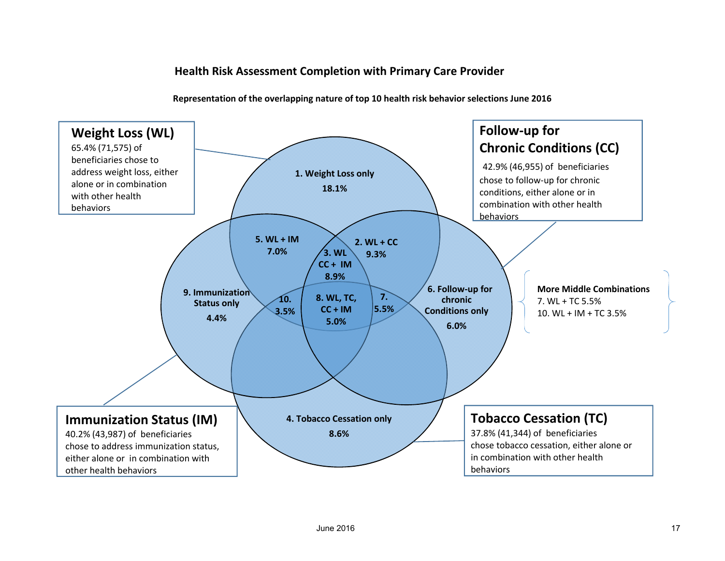## **Health Risk Assessment Completion with Primary Care Provider**

**1. Weight Loss only 18.1%Follow‐up for Chronic Conditions (CC)** 42.9% (46,955) of beneficiaries chose to follow‐up for chronic conditions, either alone or in combination with other health behaviors**4. Tobacco Cessation only 8.6%9. ImmunizationStatus only 4.4%6. Follow‐up for chronicConditions only 6.0%3. WLCC <sup>+</sup> IM8.9%2. WL + CC9.3%5. WL + IM7.0%8. WL, TC, CC <sup>+</sup> IM5.0%Weight Loss (WL)** 65.4% (71,575) of beneficiaries chose toaddress weight loss, either alone or in combination with other health behaviors**Tobacco Cessation (TC)** 37.8% (41,344) of beneficiaries chose tobacco cessation, either alone or in combination with other health behaviors**Immunization Status (IM)** 40.2% (43,987) of beneficiaries chose to address immunization status, either alone or in combination with other health behaviors **7.5.5%10.3.5%More Middle Combinations** 7. WL + TC 5.5%10. WL <sup>+</sup> IM <sup>+</sup> TC 3.5%

**Representation of the overlapping nature of top 10 health risk behavior selections June 2016**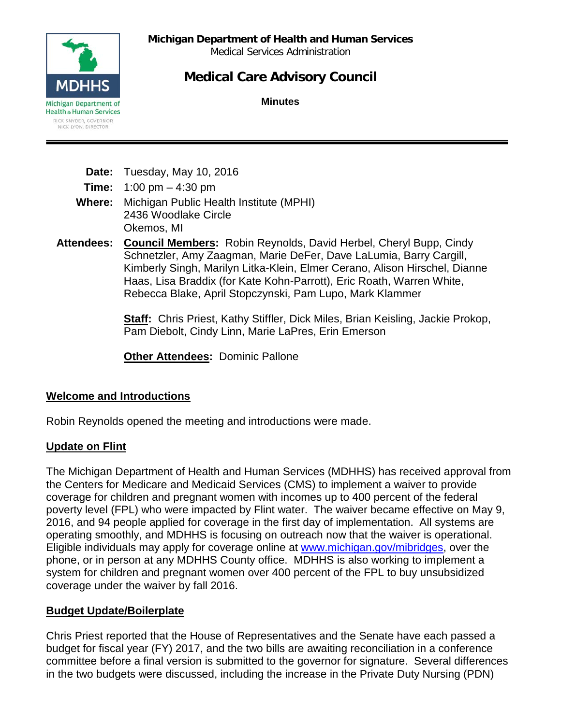**Michigan Department of Health and Human Services**

Medical Services Administration

# **Medical Care Advisory Council**

**Minutes**



| Date: Tuesday, May 10, 2016 |  |
|-----------------------------|--|
|                             |  |

**Time:** 1:00 pm – 4:30 pm

**Where:** Michigan Public Health Institute (MPHI) 2436 Woodlake Circle Okemos, MI

**Attendees: Council Members:** Robin Reynolds, David Herbel, Cheryl Bupp, Cindy Schnetzler, Amy Zaagman, Marie DeFer, Dave LaLumia, Barry Cargill, Kimberly Singh, Marilyn Litka-Klein, Elmer Cerano, Alison Hirschel, Dianne Haas, Lisa Braddix (for Kate Kohn-Parrott), Eric Roath, Warren White, Rebecca Blake, April Stopczynski, Pam Lupo, Mark Klammer

> **Staff:** Chris Priest, Kathy Stiffler, Dick Miles, Brian Keisling, Jackie Prokop, Pam Diebolt, Cindy Linn, Marie LaPres, Erin Emerson

**Other Attendees: Dominic Pallone** 

## **Welcome and Introductions**

Robin Reynolds opened the meeting and introductions were made.

## **Update on Flint**

The Michigan Department of Health and Human Services (MDHHS) has received approval from the Centers for Medicare and Medicaid Services (CMS) to implement a waiver to provide coverage for children and pregnant women with incomes up to 400 percent of the federal poverty level (FPL) who were impacted by Flint water. The waiver became effective on May 9, 2016, and 94 people applied for coverage in the first day of implementation. All systems are operating smoothly, and MDHHS is focusing on outreach now that the waiver is operational. Eligible individuals may apply for coverage online at [www.michigan.gov/mibridges,](http://www.michigan.gov/mibridges) over the phone, or in person at any MDHHS County office. MDHHS is also working to implement a system for children and pregnant women over 400 percent of the FPL to buy unsubsidized coverage under the waiver by fall 2016.

## **Budget Update/Boilerplate**

Chris Priest reported that the House of Representatives and the Senate have each passed a budget for fiscal year (FY) 2017, and the two bills are awaiting reconciliation in a conference committee before a final version is submitted to the governor for signature. Several differences in the two budgets were discussed, including the increase in the Private Duty Nursing (PDN)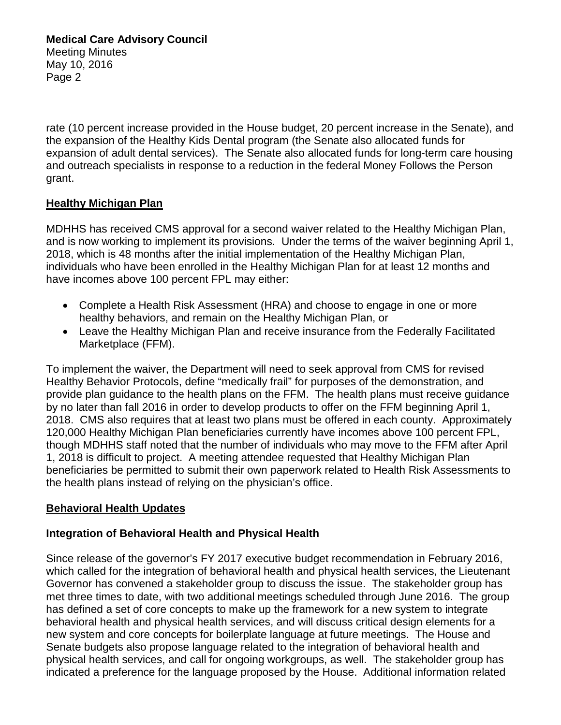rate (10 percent increase provided in the House budget, 20 percent increase in the Senate), and the expansion of the Healthy Kids Dental program (the Senate also allocated funds for expansion of adult dental services). The Senate also allocated funds for long-term care housing and outreach specialists in response to a reduction in the federal Money Follows the Person grant.

## **Healthy Michigan Plan**

MDHHS has received CMS approval for a second waiver related to the Healthy Michigan Plan, and is now working to implement its provisions. Under the terms of the waiver beginning April 1, 2018, which is 48 months after the initial implementation of the Healthy Michigan Plan, individuals who have been enrolled in the Healthy Michigan Plan for at least 12 months and have incomes above 100 percent FPL may either:

- Complete a Health Risk Assessment (HRA) and choose to engage in one or more healthy behaviors, and remain on the Healthy Michigan Plan, or
- Leave the Healthy Michigan Plan and receive insurance from the Federally Facilitated Marketplace (FFM).

To implement the waiver, the Department will need to seek approval from CMS for revised Healthy Behavior Protocols, define "medically frail" for purposes of the demonstration, and provide plan guidance to the health plans on the FFM. The health plans must receive guidance by no later than fall 2016 in order to develop products to offer on the FFM beginning April 1, 2018. CMS also requires that at least two plans must be offered in each county. Approximately 120,000 Healthy Michigan Plan beneficiaries currently have incomes above 100 percent FPL, though MDHHS staff noted that the number of individuals who may move to the FFM after April 1, 2018 is difficult to project. A meeting attendee requested that Healthy Michigan Plan beneficiaries be permitted to submit their own paperwork related to Health Risk Assessments to the health plans instead of relying on the physician's office.

## **Behavioral Health Updates**

## **Integration of Behavioral Health and Physical Health**

Since release of the governor's FY 2017 executive budget recommendation in February 2016, which called for the integration of behavioral health and physical health services, the Lieutenant Governor has convened a stakeholder group to discuss the issue. The stakeholder group has met three times to date, with two additional meetings scheduled through June 2016. The group has defined a set of core concepts to make up the framework for a new system to integrate behavioral health and physical health services, and will discuss critical design elements for a new system and core concepts for boilerplate language at future meetings. The House and Senate budgets also propose language related to the integration of behavioral health and physical health services, and call for ongoing workgroups, as well. The stakeholder group has indicated a preference for the language proposed by the House. Additional information related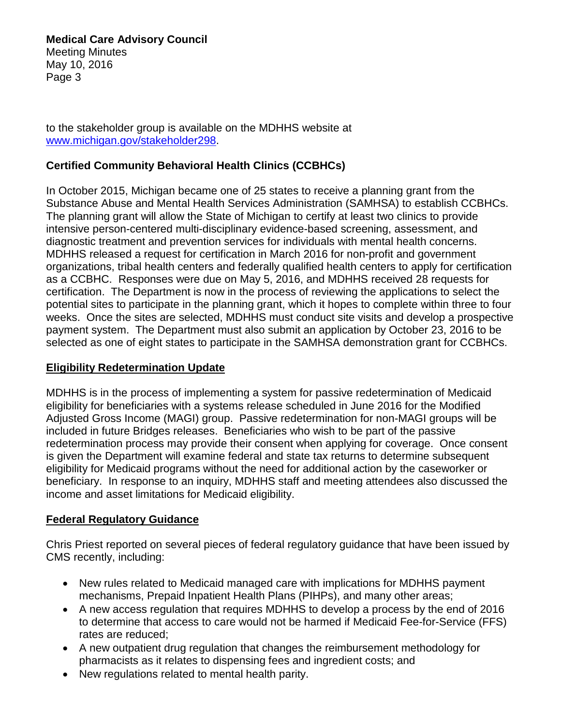**Medical Care Advisory Council** Meeting Minutes May 10, 2016 Page 3

to the stakeholder group is available on the MDHHS website at [www.michigan.gov/stakeholder298.](http://www.michigan.gov/stakeholder298)

## **Certified Community Behavioral Health Clinics (CCBHCs)**

In October 2015, Michigan became one of 25 states to receive a planning grant from the Substance Abuse and Mental Health Services Administration (SAMHSA) to establish CCBHCs. The planning grant will allow the State of Michigan to certify at least two clinics to provide intensive person-centered multi-disciplinary evidence-based screening, assessment, and diagnostic treatment and prevention services for individuals with mental health concerns. MDHHS released a request for certification in March 2016 for non-profit and government organizations, tribal health centers and federally qualified health centers to apply for certification as a CCBHC. Responses were due on May 5, 2016, and MDHHS received 28 requests for certification. The Department is now in the process of reviewing the applications to select the potential sites to participate in the planning grant, which it hopes to complete within three to four weeks. Once the sites are selected, MDHHS must conduct site visits and develop a prospective payment system. The Department must also submit an application by October 23, 2016 to be selected as one of eight states to participate in the SAMHSA demonstration grant for CCBHCs.

## **Eligibility Redetermination Update**

MDHHS is in the process of implementing a system for passive redetermination of Medicaid eligibility for beneficiaries with a systems release scheduled in June 2016 for the Modified Adjusted Gross Income (MAGI) group. Passive redetermination for non-MAGI groups will be included in future Bridges releases. Beneficiaries who wish to be part of the passive redetermination process may provide their consent when applying for coverage. Once consent is given the Department will examine federal and state tax returns to determine subsequent eligibility for Medicaid programs without the need for additional action by the caseworker or beneficiary. In response to an inquiry, MDHHS staff and meeting attendees also discussed the income and asset limitations for Medicaid eligibility.

## **Federal Regulatory Guidance**

Chris Priest reported on several pieces of federal regulatory guidance that have been issued by CMS recently, including:

- New rules related to Medicaid managed care with implications for MDHHS payment mechanisms, Prepaid Inpatient Health Plans (PIHPs), and many other areas;
- A new access regulation that requires MDHHS to develop a process by the end of 2016 to determine that access to care would not be harmed if Medicaid Fee-for-Service (FFS) rates are reduced;
- A new outpatient drug regulation that changes the reimbursement methodology for pharmacists as it relates to dispensing fees and ingredient costs; and
- New regulations related to mental health parity.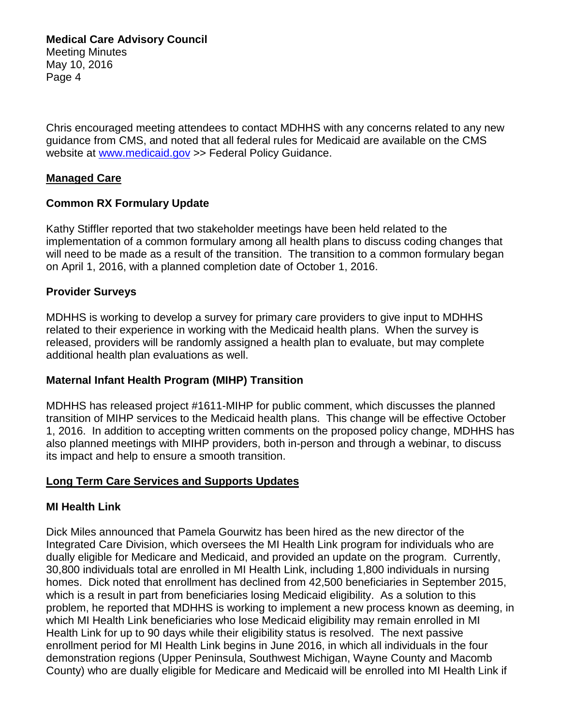Chris encouraged meeting attendees to contact MDHHS with any concerns related to any new guidance from CMS, and noted that all federal rules for Medicaid are available on the CMS website at [www.medicaid.gov](http://www.medicaid.gov/) >> Federal Policy Guidance.

## **Managed Care**

## **Common RX Formulary Update**

Kathy Stiffler reported that two stakeholder meetings have been held related to the implementation of a common formulary among all health plans to discuss coding changes that will need to be made as a result of the transition. The transition to a common formulary began on April 1, 2016, with a planned completion date of October 1, 2016.

## **Provider Surveys**

MDHHS is working to develop a survey for primary care providers to give input to MDHHS related to their experience in working with the Medicaid health plans. When the survey is released, providers will be randomly assigned a health plan to evaluate, but may complete additional health plan evaluations as well.

## **Maternal Infant Health Program (MIHP) Transition**

MDHHS has released project #1611-MIHP for public comment, which discusses the planned transition of MIHP services to the Medicaid health plans. This change will be effective October 1, 2016. In addition to accepting written comments on the proposed policy change, MDHHS has also planned meetings with MIHP providers, both in-person and through a webinar, to discuss its impact and help to ensure a smooth transition.

## **Long Term Care Services and Supports Updates**

## **MI Health Link**

Dick Miles announced that Pamela Gourwitz has been hired as the new director of the Integrated Care Division, which oversees the MI Health Link program for individuals who are dually eligible for Medicare and Medicaid, and provided an update on the program. Currently, 30,800 individuals total are enrolled in MI Health Link, including 1,800 individuals in nursing homes. Dick noted that enrollment has declined from 42,500 beneficiaries in September 2015, which is a result in part from beneficiaries losing Medicaid eligibility. As a solution to this problem, he reported that MDHHS is working to implement a new process known as deeming, in which MI Health Link beneficiaries who lose Medicaid eligibility may remain enrolled in MI Health Link for up to 90 days while their eligibility status is resolved. The next passive enrollment period for MI Health Link begins in June 2016, in which all individuals in the four demonstration regions (Upper Peninsula, Southwest Michigan, Wayne County and Macomb County) who are dually eligible for Medicare and Medicaid will be enrolled into MI Health Link if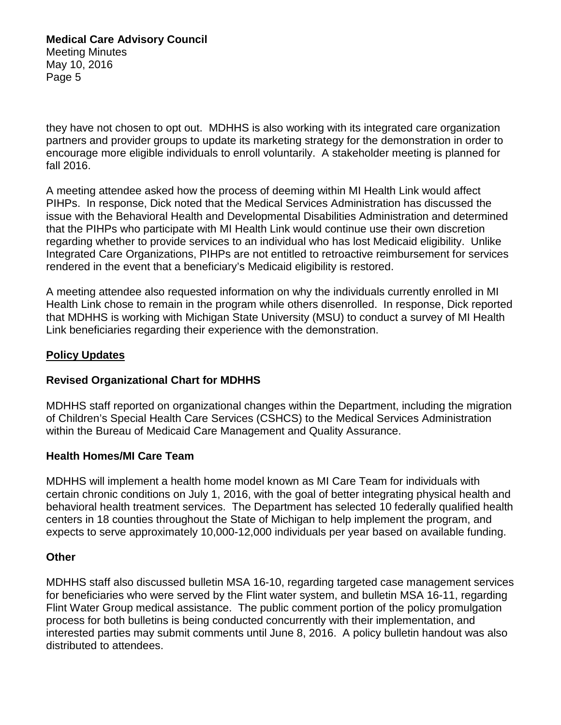they have not chosen to opt out. MDHHS is also working with its integrated care organization partners and provider groups to update its marketing strategy for the demonstration in order to encourage more eligible individuals to enroll voluntarily. A stakeholder meeting is planned for fall 2016.

A meeting attendee asked how the process of deeming within MI Health Link would affect PIHPs. In response, Dick noted that the Medical Services Administration has discussed the issue with the Behavioral Health and Developmental Disabilities Administration and determined that the PIHPs who participate with MI Health Link would continue use their own discretion regarding whether to provide services to an individual who has lost Medicaid eligibility. Unlike Integrated Care Organizations, PIHPs are not entitled to retroactive reimbursement for services rendered in the event that a beneficiary's Medicaid eligibility is restored.

A meeting attendee also requested information on why the individuals currently enrolled in MI Health Link chose to remain in the program while others disenrolled. In response, Dick reported that MDHHS is working with Michigan State University (MSU) to conduct a survey of MI Health Link beneficiaries regarding their experience with the demonstration.

## **Policy Updates**

## **Revised Organizational Chart for MDHHS**

MDHHS staff reported on organizational changes within the Department, including the migration of Children's Special Health Care Services (CSHCS) to the Medical Services Administration within the Bureau of Medicaid Care Management and Quality Assurance.

## **Health Homes/MI Care Team**

MDHHS will implement a health home model known as MI Care Team for individuals with certain chronic conditions on July 1, 2016, with the goal of better integrating physical health and behavioral health treatment services. The Department has selected 10 federally qualified health centers in 18 counties throughout the State of Michigan to help implement the program, and expects to serve approximately 10,000-12,000 individuals per year based on available funding.

## **Other**

MDHHS staff also discussed bulletin MSA 16-10, regarding targeted case management services for beneficiaries who were served by the Flint water system, and bulletin MSA 16-11, regarding Flint Water Group medical assistance. The public comment portion of the policy promulgation process for both bulletins is being conducted concurrently with their implementation, and interested parties may submit comments until June 8, 2016. A policy bulletin handout was also distributed to attendees.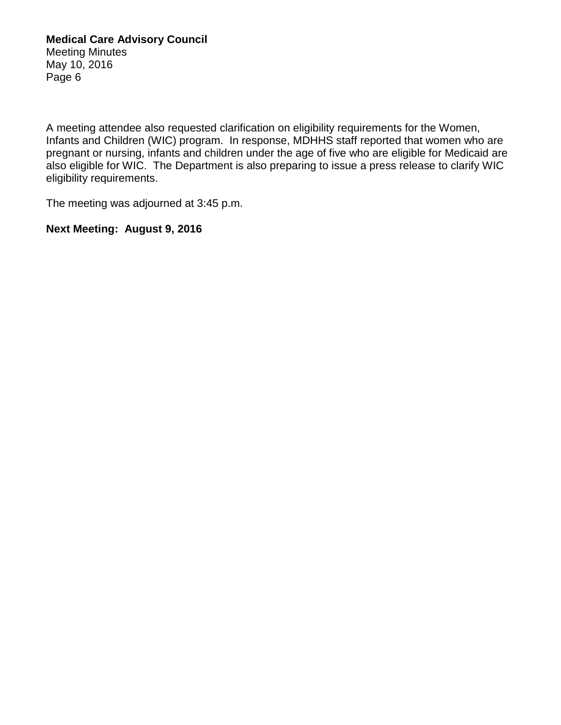A meeting attendee also requested clarification on eligibility requirements for the Women, Infants and Children (WIC) program. In response, MDHHS staff reported that women who are pregnant or nursing, infants and children under the age of five who are eligible for Medicaid are also eligible for WIC. The Department is also preparing to issue a press release to clarify WIC eligibility requirements.

The meeting was adjourned at 3:45 p.m.

## **Next Meeting: August 9, 2016**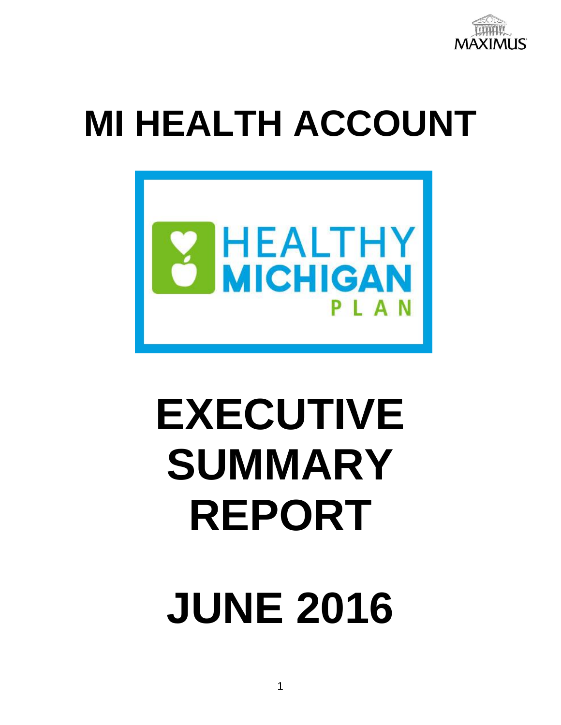

# **MI HEALTH ACCOUNT**



# **EXECUTIVE SUMMARY REPORT**

**JUNE 2016**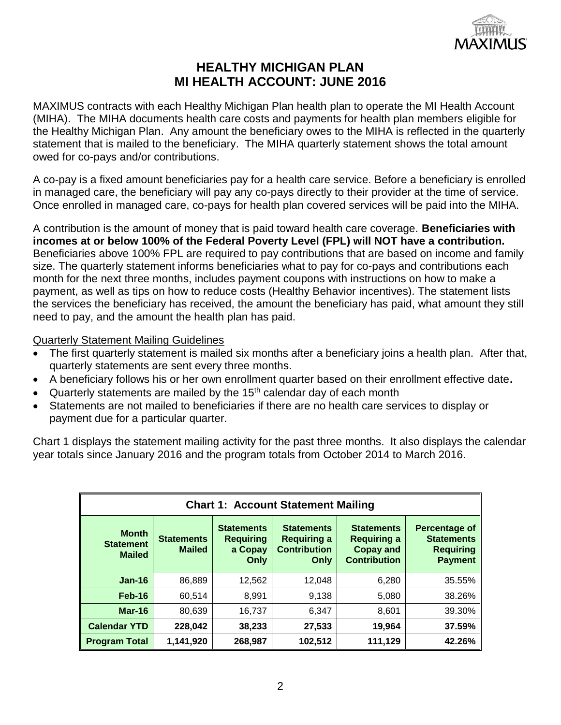

MAXIMUS contracts with each Healthy Michigan Plan health plan to operate the MI Health Account (MIHA). The MIHA documents health care costs and payments for health plan members eligible for the Healthy Michigan Plan. Any amount the beneficiary owes to the MIHA is reflected in the quarterly statement that is mailed to the beneficiary. The MIHA quarterly statement shows the total amount owed for co-pays and/or contributions.

A co-pay is a fixed amount beneficiaries pay for a health care service. Before a beneficiary is enrolled in managed care, the beneficiary will pay any co-pays directly to their provider at the time of service. Once enrolled in managed care, co-pays for health plan covered services will be paid into the MIHA.

A contribution is the amount of money that is paid toward health care coverage. **Beneficiaries with incomes at or below 100% of the Federal Poverty Level (FPL) will NOT have a contribution.** Beneficiaries above 100% FPL are required to pay contributions that are based on income and family size. The quarterly statement informs beneficiaries what to pay for co-pays and contributions each month for the next three months, includes payment coupons with instructions on how to make a payment, as well as tips on how to reduce costs (Healthy Behavior incentives). The statement lists the services the beneficiary has received, the amount the beneficiary has paid, what amount they still need to pay, and the amount the health plan has paid.

## Quarterly Statement Mailing Guidelines

- The first quarterly statement is mailed six months after a beneficiary joins a health plan. After that, quarterly statements are sent every three months.
- A beneficiary follows his or her own enrollment quarter based on their enrollment effective date**.**
- Quarterly statements are mailed by the  $15<sup>th</sup>$  calendar day of each month
- Statements are not mailed to beneficiaries if there are no health care services to display or payment due for a particular quarter.

Chart 1 displays the statement mailing activity for the past three months. It also displays the calendar year totals since January 2016 and the program totals from October 2014 to March 2016.

| <b>Chart 1: Account Statement Mailing</b>         |                                    |                                                          |                                                                        |                                                                                    |                                                                          |
|---------------------------------------------------|------------------------------------|----------------------------------------------------------|------------------------------------------------------------------------|------------------------------------------------------------------------------------|--------------------------------------------------------------------------|
| <b>Month</b><br><b>Statement</b><br><b>Mailed</b> | <b>Statements</b><br><b>Mailed</b> | <b>Statements</b><br><b>Requiring</b><br>a Copay<br>Only | <b>Statements</b><br><b>Requiring a</b><br><b>Contribution</b><br>Only | <b>Statements</b><br><b>Requiring a</b><br><b>Copay and</b><br><b>Contribution</b> | Percentage of<br><b>Statements</b><br><b>Requiring</b><br><b>Payment</b> |
| $Jan-16$                                          | 86,889                             | 12,562                                                   | 12,048                                                                 | 6,280                                                                              | 35.55%                                                                   |
| <b>Feb-16</b>                                     | 60,514                             | 8,991                                                    | 9,138                                                                  | 5,080                                                                              | 38.26%                                                                   |
| Mar-16                                            | 80,639                             | 16,737                                                   | 6,347                                                                  | 8,601                                                                              | 39.30%                                                                   |
| <b>Calendar YTD</b>                               | 228,042                            | 38,233                                                   | 27,533                                                                 | 19,964                                                                             | 37.59%                                                                   |
| <b>Program Total</b>                              | 1,141,920                          | 268,987                                                  | 102,512                                                                | 111,129                                                                            | 42.26%                                                                   |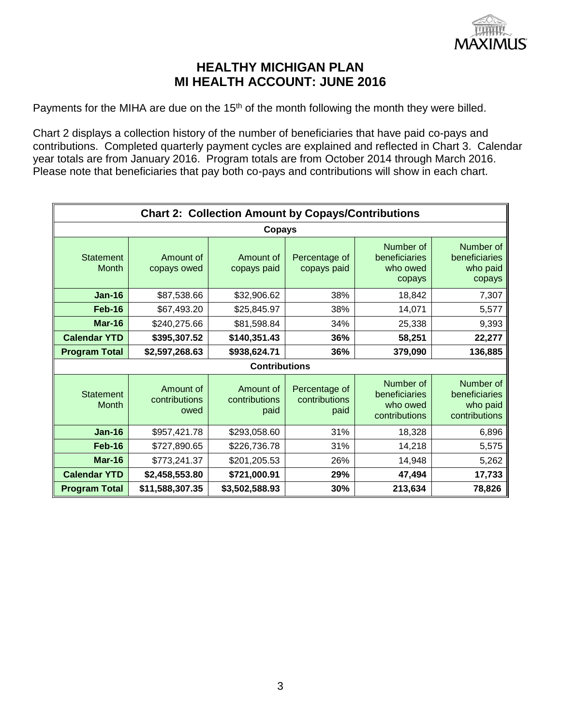

Payments for the MIHA are due on the 15<sup>th</sup> of the month following the month they were billed.

Chart 2 displays a collection history of the number of beneficiaries that have paid co-pays and contributions. Completed quarterly payment cycles are explained and reflected in Chart 3. Calendar year totals are from January 2016. Program totals are from October 2014 through March 2016. Please note that beneficiaries that pay both co-pays and contributions will show in each chart.

| <b>Chart 2: Collection Amount by Copays/Contributions</b> |                                    |                                    |                                        |                                                         |                                                         |
|-----------------------------------------------------------|------------------------------------|------------------------------------|----------------------------------------|---------------------------------------------------------|---------------------------------------------------------|
|                                                           |                                    | Copays                             |                                        |                                                         |                                                         |
| <b>Statement</b><br><b>Month</b>                          | Amount of<br>copays owed           | Amount of<br>copays paid           | Percentage of<br>copays paid           | Number of<br>beneficiaries<br>who owed<br>copays        | Number of<br>beneficiaries<br>who paid<br>copays        |
| <b>Jan-16</b>                                             | \$87,538.66                        | \$32,906.62                        | 38%                                    | 18,842                                                  | 7,307                                                   |
| Feb-16                                                    | \$67,493.20                        | \$25,845.97                        | 38%                                    | 14,071                                                  | 5,577                                                   |
| Mar-16                                                    | \$240,275.66                       | \$81,598.84                        | 34%                                    | 25,338                                                  | 9,393                                                   |
| <b>Calendar YTD</b>                                       | \$395,307.52                       | \$140,351.43                       | 36%                                    | 58,251                                                  | 22,277                                                  |
| <b>Program Total</b>                                      | \$2,597,268.63                     | \$938,624.71                       | 36%                                    | 379,090                                                 | 136,885                                                 |
|                                                           |                                    | <b>Contributions</b>               |                                        |                                                         |                                                         |
| <b>Statement</b><br><b>Month</b>                          | Amount of<br>contributions<br>owed | Amount of<br>contributions<br>paid | Percentage of<br>contributions<br>paid | Number of<br>beneficiaries<br>who owed<br>contributions | Number of<br>beneficiaries<br>who paid<br>contributions |
| <b>Jan-16</b>                                             | \$957,421.78                       | \$293,058.60                       | 31%                                    | 18,328                                                  | 6,896                                                   |
| <b>Feb-16</b>                                             | \$727,890.65                       | \$226,736.78                       | 31%                                    | 14,218                                                  | 5,575                                                   |
| <b>Mar-16</b>                                             | \$773,241.37                       | \$201,205.53                       | 26%                                    | 14,948                                                  | 5,262                                                   |
| <b>Calendar YTD</b>                                       | \$2,458,553.80                     | \$721,000.91                       | 29%                                    | 47,494                                                  | 17,733                                                  |
| <b>Program Total</b>                                      | \$11,588,307.35                    | \$3,502,588.93                     | 30%                                    | 213,634                                                 | 78,826                                                  |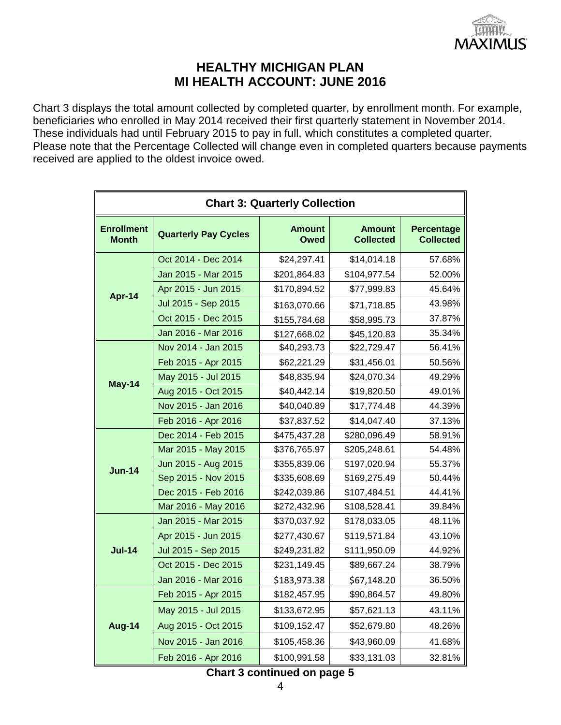

Chart 3 displays the total amount collected by completed quarter, by enrollment month. For example, beneficiaries who enrolled in May 2014 received their first quarterly statement in November 2014. These individuals had until February 2015 to pay in full, which constitutes a completed quarter. Please note that the Percentage Collected will change even in completed quarters because payments received are applied to the oldest invoice owed.

| <b>Chart 3: Quarterly Collection</b> |                             |                       |                                   |                                |  |
|--------------------------------------|-----------------------------|-----------------------|-----------------------------------|--------------------------------|--|
| <b>Enrollment</b><br><b>Month</b>    | <b>Quarterly Pay Cycles</b> | <b>Amount</b><br>Owed | <b>Amount</b><br><b>Collected</b> | Percentage<br><b>Collected</b> |  |
|                                      | Oct 2014 - Dec 2014         | \$24,297.41           | \$14,014.18                       | 57.68%                         |  |
|                                      | Jan 2015 - Mar 2015         | \$201,864.83          | \$104,977.54                      | 52.00%                         |  |
|                                      | Apr 2015 - Jun 2015         | \$170,894.52          | \$77,999.83                       | 45.64%                         |  |
| Apr-14                               | Jul 2015 - Sep 2015         | \$163,070.66          | \$71,718.85                       | 43.98%                         |  |
|                                      | Oct 2015 - Dec 2015         | \$155,784.68          | \$58,995.73                       | 37.87%                         |  |
|                                      | Jan 2016 - Mar 2016         | \$127,668.02          | \$45,120.83                       | 35.34%                         |  |
|                                      | Nov 2014 - Jan 2015         | \$40,293.73           | \$22,729.47                       | 56.41%                         |  |
|                                      | Feb 2015 - Apr 2015         | \$62,221.29           | \$31,456.01                       | 50.56%                         |  |
| May-14                               | May 2015 - Jul 2015         | \$48,835.94           | \$24,070.34                       | 49.29%                         |  |
|                                      | Aug 2015 - Oct 2015         | \$40,442.14           | \$19,820.50                       | 49.01%                         |  |
|                                      | Nov 2015 - Jan 2016         | \$40,040.89           | \$17,774.48                       | 44.39%                         |  |
|                                      | Feb 2016 - Apr 2016         | \$37,837.52           | \$14,047.40                       | 37.13%                         |  |
|                                      | Dec 2014 - Feb 2015         | \$475,437.28          | \$280,096.49                      | 58.91%                         |  |
|                                      | Mar 2015 - May 2015         | \$376,765.97          | \$205,248.61                      | 54.48%                         |  |
| <b>Jun-14</b>                        | Jun 2015 - Aug 2015         | \$355,839.06          | \$197,020.94                      | 55.37%                         |  |
|                                      | Sep 2015 - Nov 2015         | \$335,608.69          | \$169,275.49                      | 50.44%                         |  |
|                                      | Dec 2015 - Feb 2016         | \$242,039.86          | \$107,484.51                      | 44.41%                         |  |
|                                      | Mar 2016 - May 2016         | \$272,432.96          | \$108,528.41                      | 39.84%                         |  |
|                                      | Jan 2015 - Mar 2015         | \$370,037.92          | \$178,033.05                      | 48.11%                         |  |
|                                      | Apr 2015 - Jun 2015         | \$277,430.67          | \$119,571.84                      | 43.10%                         |  |
| <b>Jul-14</b>                        | Jul 2015 - Sep 2015         | \$249,231.82          | \$111,950.09                      | 44.92%                         |  |
|                                      | Oct 2015 - Dec 2015         | \$231,149.45          | \$89,667.24                       | 38.79%                         |  |
|                                      | Jan 2016 - Mar 2016         | \$183,973.38          | \$67,148.20                       | 36.50%                         |  |
|                                      | Feb 2015 - Apr 2015         | \$182,457.95          | \$90,864.57                       | 49.80%                         |  |
|                                      | May 2015 - Jul 2015         | \$133,672.95          | \$57,621.13                       | 43.11%                         |  |
| <b>Aug-14</b>                        | Aug 2015 - Oct 2015         | \$109,152.47          | \$52,679.80                       | 48.26%                         |  |
|                                      | Nov 2015 - Jan 2016         | \$105,458.36          | \$43,960.09                       | 41.68%                         |  |
|                                      | Feb 2016 - Apr 2016         | \$100,991.58          | \$33,131.03                       | 32.81%                         |  |

**Chart 3 continued on page 5**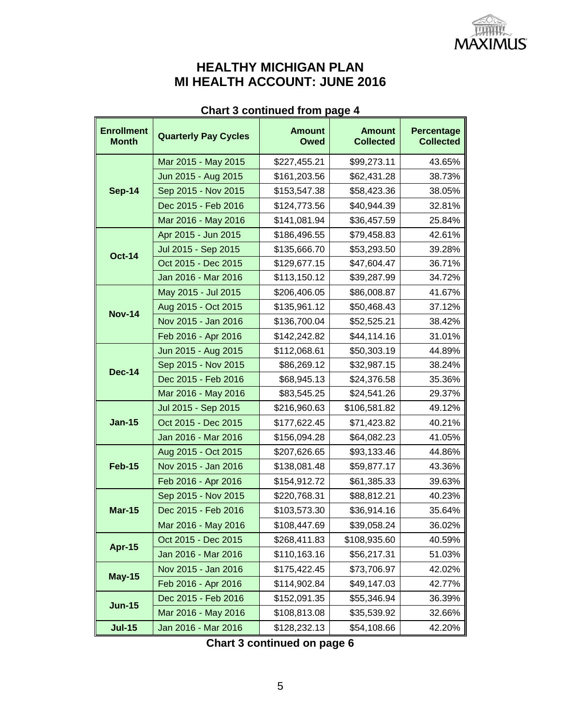

## **Chart 3 continued from page 4**

| <b>Enrollment</b><br><b>Month</b> | <b>Quarterly Pay Cycles</b> | <b>Amount</b><br><b>Owed</b> | <b>Amount</b><br><b>Collected</b> | Percentage<br><b>Collected</b> |
|-----------------------------------|-----------------------------|------------------------------|-----------------------------------|--------------------------------|
|                                   | Mar 2015 - May 2015         | \$227,455.21                 | \$99,273.11                       | 43.65%                         |
| <b>Sep-14</b>                     | Jun 2015 - Aug 2015         | \$161,203.56                 | \$62,431.28                       | 38.73%                         |
|                                   | Sep 2015 - Nov 2015         | \$153,547.38                 | \$58,423.36                       | 38.05%                         |
|                                   | Dec 2015 - Feb 2016         | \$124,773.56                 | \$40,944.39                       | 32.81%                         |
|                                   | Mar 2016 - May 2016         | \$141,081.94                 | \$36,457.59                       | 25.84%                         |
|                                   | Apr 2015 - Jun 2015         | \$186,496.55                 | \$79,458.83                       | 42.61%                         |
| <b>Oct-14</b>                     | Jul 2015 - Sep 2015         | \$135,666.70                 | \$53,293.50                       | 39.28%                         |
|                                   | Oct 2015 - Dec 2015         | \$129,677.15                 | \$47,604.47                       | 36.71%                         |
|                                   | Jan 2016 - Mar 2016         | \$113,150.12                 | \$39,287.99                       | 34.72%                         |
|                                   | May 2015 - Jul 2015         | \$206,406.05                 | \$86,008.87                       | 41.67%                         |
| <b>Nov-14</b>                     | Aug 2015 - Oct 2015         | \$135,961.12                 | \$50,468.43                       | 37.12%                         |
|                                   | Nov 2015 - Jan 2016         | \$136,700.04                 | \$52,525.21                       | 38.42%                         |
|                                   | Feb 2016 - Apr 2016         | \$142,242.82                 | \$44,114.16                       | 31.01%                         |
| <b>Dec-14</b>                     | Jun 2015 - Aug 2015         | \$112,068.61                 | \$50,303.19                       | 44.89%                         |
|                                   | Sep 2015 - Nov 2015         | \$86,269.12                  | \$32,987.15                       | 38.24%                         |
|                                   | Dec 2015 - Feb 2016         | \$68,945.13                  | \$24,376.58                       | 35.36%                         |
|                                   | Mar 2016 - May 2016         | \$83,545.25                  | \$24,541.26                       | 29.37%                         |
|                                   | Jul 2015 - Sep 2015         | \$216,960.63                 | \$106,581.82                      | 49.12%                         |
| <b>Jan-15</b>                     | Oct 2015 - Dec 2015         | \$177,622.45                 | \$71,423.82                       | 40.21%                         |
|                                   | Jan 2016 - Mar 2016         | \$156,094.28                 | \$64,082.23                       | 41.05%                         |
|                                   | Aug 2015 - Oct 2015         | \$207,626.65                 | \$93,133.46                       | 44.86%                         |
| <b>Feb-15</b>                     | Nov 2015 - Jan 2016         | \$138,081.48                 | \$59,877.17                       | 43.36%                         |
|                                   | Feb 2016 - Apr 2016         | \$154,912.72                 | \$61,385.33                       | 39.63%                         |
|                                   | Sep 2015 - Nov 2015         | \$220,768.31                 | \$88,812.21                       | 40.23%                         |
| <b>Mar-15</b>                     | Dec 2015 - Feb 2016         | \$103,573.30                 | \$36,914.16                       | 35.64%                         |
|                                   | Mar 2016 - May 2016         | \$108,447.69                 | \$39,058.24                       | 36.02%                         |
| <b>Apr-15</b>                     | Oct 2015 - Dec 2015         | \$268,411.83                 | \$108,935.60                      | 40.59%                         |
|                                   | Jan 2016 - Mar 2016         | \$110,163.16                 | \$56,217.31                       | 51.03%                         |
| <b>May-15</b>                     | Nov 2015 - Jan 2016         | \$175,422.45                 | \$73,706.97                       | 42.02%                         |
|                                   | Feb 2016 - Apr 2016         | \$114,902.84                 | \$49,147.03                       | 42.77%                         |
|                                   | Dec 2015 - Feb 2016         | \$152,091.35                 | \$55,346.94                       | 36.39%                         |
| <b>Jun-15</b>                     | Mar 2016 - May 2016         | \$108,813.08                 | \$35,539.92                       | 32.66%                         |
| <b>Jul-15</b>                     | Jan 2016 - Mar 2016         | \$128,232.13                 | \$54,108.66                       | 42.20%                         |

|  | Chart 3 continued on page 6 |  |  |  |
|--|-----------------------------|--|--|--|
|--|-----------------------------|--|--|--|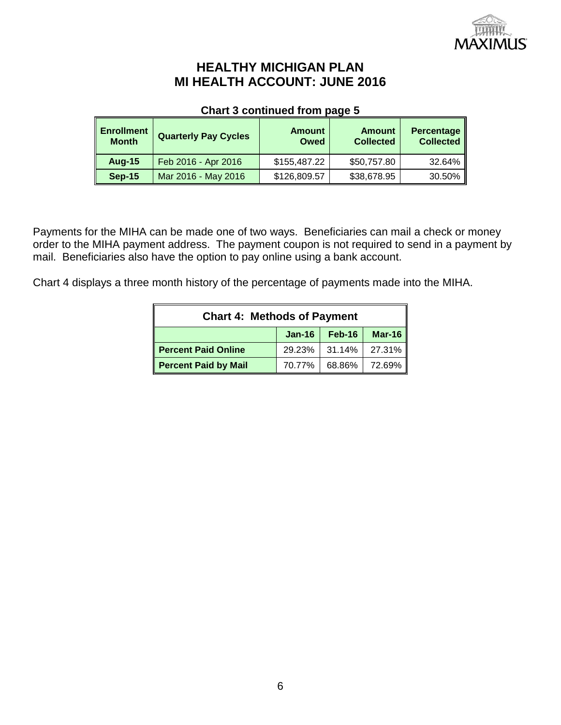

## **Chart 3 continued from page 5**

| <b>Enrollment</b><br><b>Month</b> | <b>Quarterly Pay Cycles</b> | <b>Amount</b><br>Owed | <b>Amount</b><br><b>Collected</b> | <b>Percentage</b><br><b>Collected</b> |
|-----------------------------------|-----------------------------|-----------------------|-----------------------------------|---------------------------------------|
| <b>Aug-15</b>                     | Feb 2016 - Apr 2016         | \$155,487.22          | \$50,757.80                       | 32.64%                                |
| <b>Sep-15</b>                     | Mar 2016 - May 2016         | \$126,809.57          | \$38,678.95                       | 30.50%                                |

Payments for the MIHA can be made one of two ways. Beneficiaries can mail a check or money order to the MIHA payment address. The payment coupon is not required to send in a payment by mail. Beneficiaries also have the option to pay online using a bank account.

Chart 4 displays a three month history of the percentage of payments made into the MIHA.

| <b>Chart 4: Methods of Payment</b>                       |  |               |        |  |  |  |  |
|----------------------------------------------------------|--|---------------|--------|--|--|--|--|
| $Mar-16$<br>$Jan-16$<br>Feb-16                           |  |               |        |  |  |  |  |
| <b>Percent Paid Online</b>                               |  | 29.23% 31.14% | 27.31% |  |  |  |  |
| <b>Percent Paid by Mail</b><br>68.86%   72.69%<br>70.77% |  |               |        |  |  |  |  |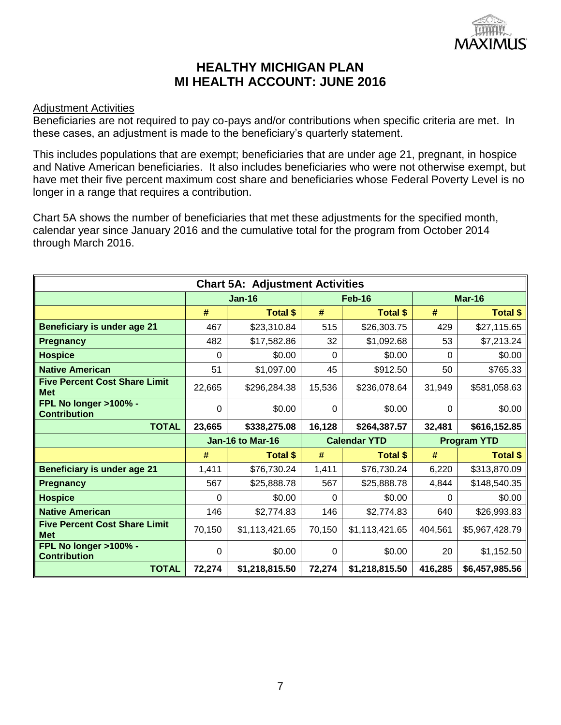

## Adjustment Activities

Beneficiaries are not required to pay co-pays and/or contributions when specific criteria are met. In these cases, an adjustment is made to the beneficiary's quarterly statement.

This includes populations that are exempt; beneficiaries that are under age 21, pregnant, in hospice and Native American beneficiaries. It also includes beneficiaries who were not otherwise exempt, but have met their five percent maximum cost share and beneficiaries whose Federal Poverty Level is no longer in a range that requires a contribution.

Chart 5A shows the number of beneficiaries that met these adjustments for the specified month, calendar year since January 2016 and the cumulative total for the program from October 2014 through March 2016.

| <b>Chart 5A: Adjustment Activities</b>             |        |                  |                     |                         |                    |                 |  |  |
|----------------------------------------------------|--------|------------------|---------------------|-------------------------|--------------------|-----------------|--|--|
|                                                    |        | <b>Jan-16</b>    |                     | Feb-16<br><b>Mar-16</b> |                    |                 |  |  |
|                                                    | #      | <b>Total \$</b>  | #                   | <b>Total \$</b>         | #                  | Total \$        |  |  |
| <b>Beneficiary is under age 21</b>                 | 467    | \$23,310.84      | 515                 | \$26,303.75             | 429                | \$27,115.65     |  |  |
| <b>Pregnancy</b>                                   | 482    | \$17,582.86      | 32                  | \$1,092.68              | 53                 | \$7,213.24      |  |  |
| <b>Hospice</b>                                     | 0      | \$0.00           | $\Omega$            | \$0.00                  | 0                  | \$0.00          |  |  |
| <b>Native American</b>                             | 51     | \$1,097.00       | 45                  | \$912.50                | 50                 | \$765.33        |  |  |
| <b>Five Percent Cost Share Limit</b><br><b>Met</b> | 22,665 | \$296,284.38     | 15,536              | \$236,078.64            | 31,949             | \$581,058.63    |  |  |
| FPL No longer >100% -<br><b>Contribution</b>       | 0      | \$0.00           | $\Omega$            | \$0.00                  | 0                  | \$0.00          |  |  |
| <b>TOTAL</b>                                       | 23,665 | \$338,275.08     | 16,128              | \$264,387.57            | 32,481             | \$616,152.85    |  |  |
|                                                    |        | Jan-16 to Mar-16 | <b>Calendar YTD</b> |                         | <b>Program YTD</b> |                 |  |  |
|                                                    | #      | <b>Total \$</b>  | #                   | <b>Total \$</b>         | #                  | <b>Total \$</b> |  |  |
| <b>Beneficiary is under age 21</b>                 | 1,411  | \$76,730.24      | 1,411               | \$76,730.24             | 6,220              | \$313,870.09    |  |  |
| <b>Pregnancy</b>                                   | 567    | \$25,888.78      | 567                 | \$25,888.78             | 4,844              | \$148,540.35    |  |  |
| <b>Hospice</b>                                     | 0      | \$0.00           | 0                   | \$0.00                  | 0                  | \$0.00          |  |  |
| <b>Native American</b>                             | 146    | \$2,774.83       | 146                 | \$2,774.83              | 640                | \$26,993.83     |  |  |
| <b>Five Percent Cost Share Limit</b><br><b>Met</b> | 70,150 | \$1,113,421.65   | 70,150              | \$1,113,421.65          | 404,561            | \$5,967,428.79  |  |  |
| FPL No longer >100% -<br><b>Contribution</b>       | 0      | \$0.00           | $\Omega$            | \$0.00                  | 20                 | \$1,152.50      |  |  |
| <b>TOTAL</b>                                       | 72,274 | \$1,218,815.50   | 72,274              | \$1,218,815.50          | 416,285            | \$6,457,985.56  |  |  |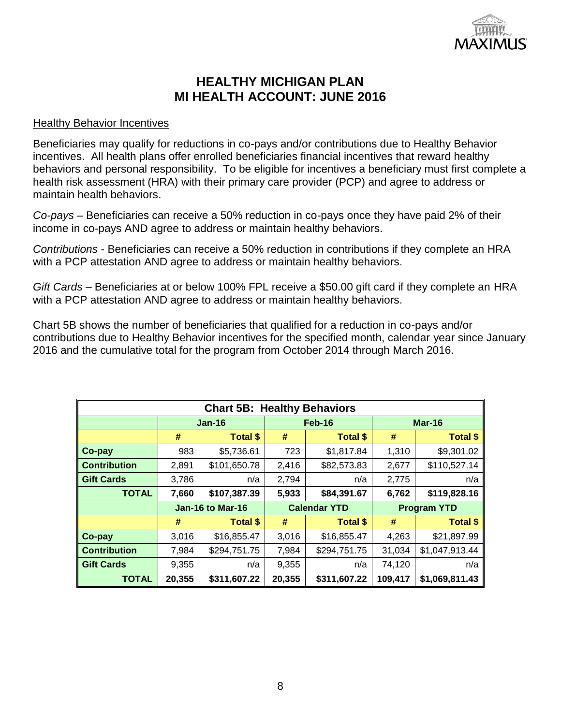

## Healthy Behavior Incentives

Beneficiaries may qualify for reductions in co-pays and/or contributions due to Healthy Behavior incentives. All health plans offer enrolled beneficiaries financial incentives that reward healthy behaviors and personal responsibility. To be eligible for incentives a beneficiary must first complete a health risk assessment (HRA) with their primary care provider (PCP) and agree to address or maintain health behaviors.

*Co-pays* – Beneficiaries can receive a 50% reduction in co-pays once they have paid 2% of their income in co-pays AND agree to address or maintain healthy behaviors.

*Contributions* - Beneficiaries can receive a 50% reduction in contributions if they complete an HRA with a PCP attestation AND agree to address or maintain healthy behaviors.

*Gift Cards –* Beneficiaries at or below 100% FPL receive a \$50.00 gift card if they complete an HRA with a PCP attestation AND agree to address or maintain healthy behaviors.

Chart 5B shows the number of beneficiaries that qualified for a reduction in co-pays and/or contributions due to Healthy Behavior incentives for the specified month, calendar year since January 2016 and the cumulative total for the program from October 2014 through March 2016.

| <b>Chart 5B: Healthy Behaviors</b> |          |                  |                     |                 |                    |                 |  |  |
|------------------------------------|----------|------------------|---------------------|-----------------|--------------------|-----------------|--|--|
|                                    | $Jan-16$ |                  | Feb-16              |                 |                    | Mar-16          |  |  |
|                                    | #        | <b>Total \$</b>  | #                   | <b>Total \$</b> | #                  | <b>Total \$</b> |  |  |
| Co-pay                             | 983      | \$5,736.61       | 723                 | \$1,817.84      | 1,310              | \$9,301.02      |  |  |
| <b>Contribution</b>                | 2,891    | \$101,650.78     | 2,416               | \$82,573.83     | 2,677              | \$110,527.14    |  |  |
| <b>Gift Cards</b>                  | 3,786    | n/a              | 2,794               | n/a             | 2,775              | n/a             |  |  |
| <b>TOTAL</b>                       | 7,660    | \$107,387.39     | 5,933               | \$84,391.67     | 6,762              | \$119,828.16    |  |  |
|                                    |          | Jan-16 to Mar-16 | <b>Calendar YTD</b> |                 | <b>Program YTD</b> |                 |  |  |
|                                    | #        | <b>Total \$</b>  | #                   | <b>Total \$</b> | #                  | <b>Total \$</b> |  |  |
| Co-pay                             | 3,016    | \$16,855.47      | 3,016               | \$16,855.47     | 4,263              | \$21,897.99     |  |  |
| <b>Contribution</b>                | 7,984    | \$294,751.75     | 7,984               | \$294,751.75    | 31,034             | \$1,047,913.44  |  |  |
| <b>Gift Cards</b>                  | 9,355    | n/a              | 9,355               | n/a             | 74,120             | n/a             |  |  |
| <b>TOTAL</b>                       | 20,355   | \$311,607.22     | 20,355              | \$311,607.22    | 109,417            | \$1,069,811.43  |  |  |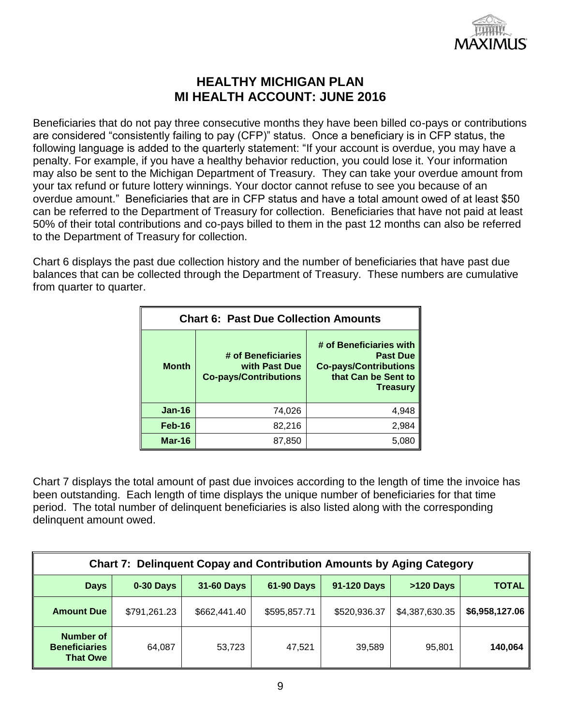

Beneficiaries that do not pay three consecutive months they have been billed co-pays or contributions are considered "consistently failing to pay (CFP)" status. Once a beneficiary is in CFP status, the following language is added to the quarterly statement: "If your account is overdue, you may have a penalty. For example, if you have a healthy behavior reduction, you could lose it. Your information may also be sent to the Michigan Department of Treasury. They can take your overdue amount from your tax refund or future lottery winnings. Your doctor cannot refuse to see you because of an overdue amount." Beneficiaries that are in CFP status and have a total amount owed of at least \$50 can be referred to the Department of Treasury for collection. Beneficiaries that have not paid at least 50% of their total contributions and co-pays billed to them in the past 12 months can also be referred to the Department of Treasury for collection.

Chart 6 displays the past due collection history and the number of beneficiaries that have past due balances that can be collected through the Department of Treasury. These numbers are cumulative from quarter to quarter.

| <b>Chart 6: Past Due Collection Amounts</b> |                                                                     |                                                                                                                      |  |  |  |
|---------------------------------------------|---------------------------------------------------------------------|----------------------------------------------------------------------------------------------------------------------|--|--|--|
| <b>Month</b>                                | # of Beneficiaries<br>with Past Due<br><b>Co-pays/Contributions</b> | # of Beneficiaries with<br><b>Past Due</b><br><b>Co-pays/Contributions</b><br>that Can be Sent to<br><b>Treasury</b> |  |  |  |
| $Jan-16$                                    | 74,026                                                              | 4,948                                                                                                                |  |  |  |
| Feb-16                                      | 82,216                                                              | 2,984                                                                                                                |  |  |  |
| Mar-16                                      | 87,850                                                              | 5.080                                                                                                                |  |  |  |

Chart 7 displays the total amount of past due invoices according to the length of time the invoice has been outstanding. Each length of time displays the unique number of beneficiaries for that time period. The total number of delinquent beneficiaries is also listed along with the corresponding delinquent amount owed.

| <b>Chart 7: Delinguent Copay and Contribution Amounts by Aging Category</b> |              |                   |                   |              |                |                |  |
|-----------------------------------------------------------------------------|--------------|-------------------|-------------------|--------------|----------------|----------------|--|
| <b>Days</b>                                                                 | $0-30$ Days  | <b>31-60 Days</b> | <b>61-90 Days</b> | 91-120 Days  | $>120$ Days    | <b>TOTAL</b>   |  |
| <b>Amount Due</b>                                                           | \$791,261.23 | \$662,441.40      | \$595,857.71      | \$520,936.37 | \$4,387,630.35 | \$6,958,127.06 |  |
| <b>Number of</b><br><b>Beneficiaries</b><br><b>That Owe</b>                 | 64,087       | 53,723            | 47,521            | 39,589       | 95,801         | 140,064        |  |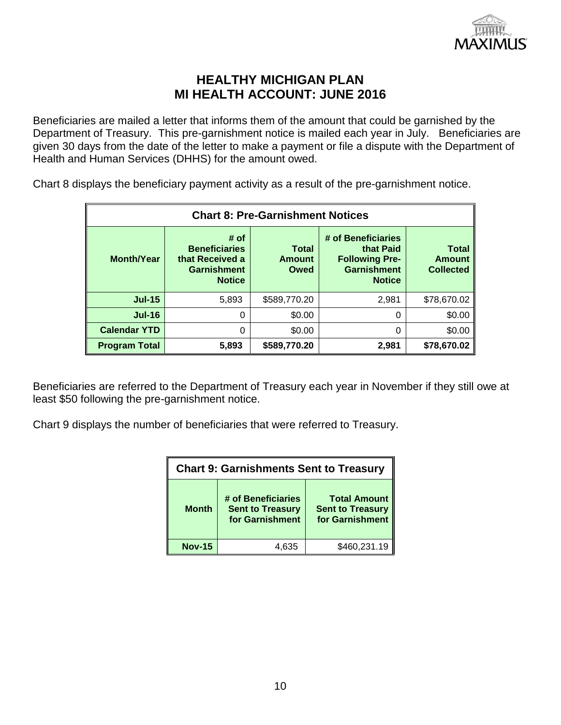

Beneficiaries are mailed a letter that informs them of the amount that could be garnished by the Department of Treasury. This pre-garnishment notice is mailed each year in July. Beneficiaries are given 30 days from the date of the letter to make a payment or file a dispute with the Department of Health and Human Services (DHHS) for the amount owed.

Chart 8 displays the beneficiary payment activity as a result of the pre-garnishment notice.

| <b>Chart 8: Pre-Garnishment Notices</b> |                                                                                        |                                       |                                                                                                 |                                                   |  |  |  |  |
|-----------------------------------------|----------------------------------------------------------------------------------------|---------------------------------------|-------------------------------------------------------------------------------------------------|---------------------------------------------------|--|--|--|--|
| <b>Month/Year</b>                       | # of<br><b>Beneficiaries</b><br>that Received a<br><b>Garnishment</b><br><b>Notice</b> | <b>Total</b><br><b>Amount</b><br>Owed | # of Beneficiaries<br>that Paid<br><b>Following Pre-</b><br><b>Garnishment</b><br><b>Notice</b> | <b>Total</b><br><b>Amount</b><br><b>Collected</b> |  |  |  |  |
| $Jul-15$                                | 5,893                                                                                  | \$589,770.20                          | 2,981                                                                                           | \$78,670.02                                       |  |  |  |  |
| $Jul-16$                                | 0                                                                                      | \$0.00                                | 0                                                                                               | \$0.00                                            |  |  |  |  |
| <b>Calendar YTD</b>                     | 0                                                                                      | \$0.00                                | 0                                                                                               | \$0.00                                            |  |  |  |  |
| <b>Program Total</b>                    | 5,893                                                                                  | \$589,770.20                          | 2,981                                                                                           | \$78,670.02                                       |  |  |  |  |

Beneficiaries are referred to the Department of Treasury each year in November if they still owe at least \$50 following the pre-garnishment notice.

Chart 9 displays the number of beneficiaries that were referred to Treasury.

| <b>Chart 9: Garnishments Sent to Treasury</b> |                                                                  |                                                                   |  |  |  |
|-----------------------------------------------|------------------------------------------------------------------|-------------------------------------------------------------------|--|--|--|
| <b>Month</b>                                  | # of Beneficiaries<br><b>Sent to Treasury</b><br>for Garnishment | <b>Total Amount</b><br><b>Sent to Treasury</b><br>for Garnishment |  |  |  |
| <b>Nov-15</b>                                 | 4.635                                                            | \$460,231.19                                                      |  |  |  |